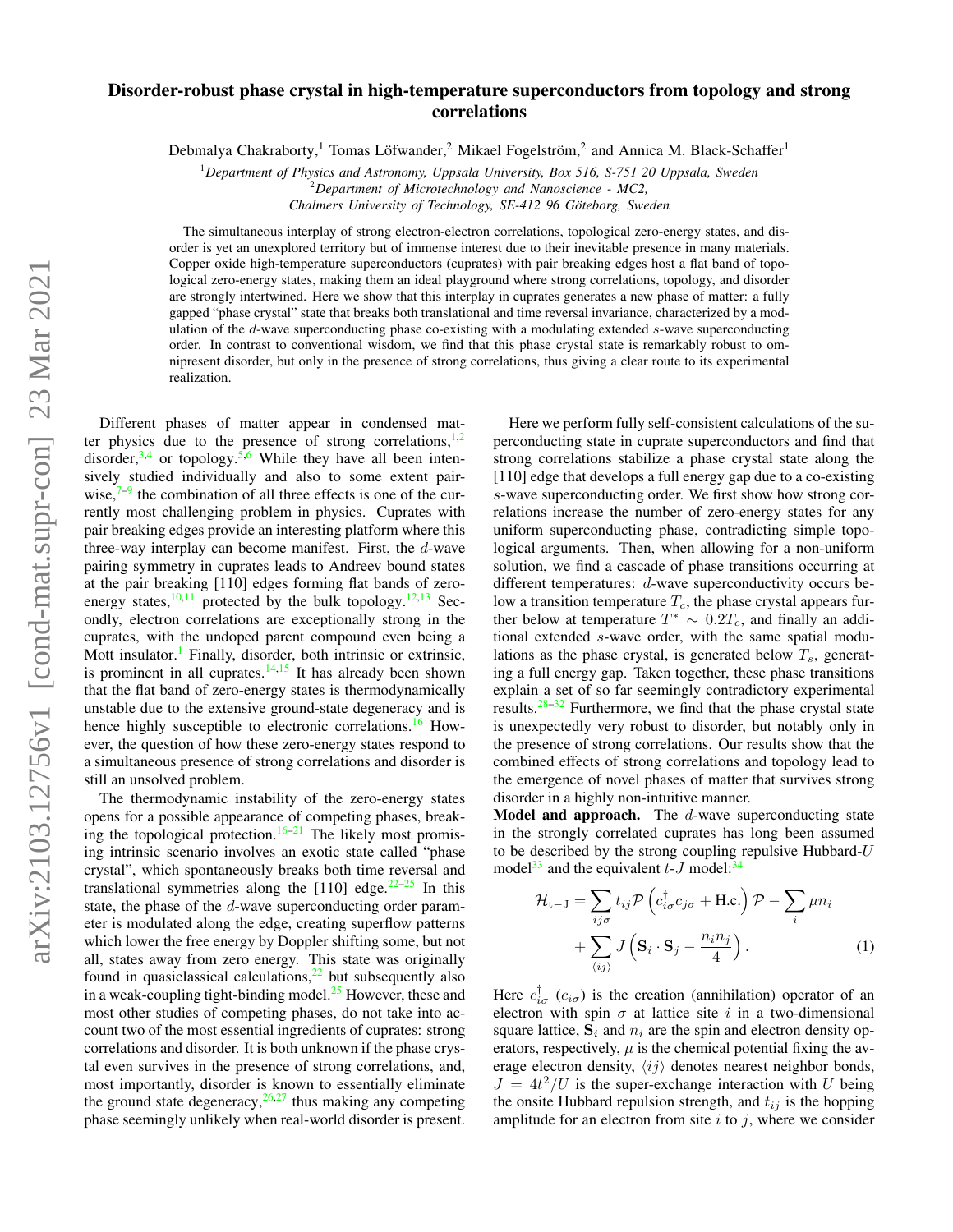# Disorder-robust phase crystal in high-temperature superconductors from topology and strong correlations

Debmalya Chakraborty,<sup>1</sup> Tomas Löfwander,<sup>2</sup> Mikael Fogelström,<sup>2</sup> and Annica M. Black-Schaffer<sup>1</sup>

<sup>1</sup>*Department of Physics and Astronomy, Uppsala University, Box 516, S-751 20 Uppsala, Sweden* <sup>2</sup>*Department of Microtechnology and Nanoscience - MC2,*

*Chalmers University of Technology, SE-412 96 Goteborg, Sweden ¨*

The simultaneous interplay of strong electron-electron correlations, topological zero-energy states, and disorder is yet an unexplored territory but of immense interest due to their inevitable presence in many materials. Copper oxide high-temperature superconductors (cuprates) with pair breaking edges host a flat band of topological zero-energy states, making them an ideal playground where strong correlations, topology, and disorder are strongly intertwined. Here we show that this interplay in cuprates generates a new phase of matter: a fully gapped "phase crystal" state that breaks both translational and time reversal invariance, characterized by a modulation of the d-wave superconducting phase co-existing with a modulating extended s-wave superconducting order. In contrast to conventional wisdom, we find that this phase crystal state is remarkably robust to omnipresent disorder, but only in the presence of strong correlations, thus giving a clear route to its experimental realization.

Different phases of matter appear in condensed matter physics due to the presence of strong correlations, $\frac{1}{2}$  $\frac{1}{2}$  $\frac{1}{2}$ disorder,  $3,4$  $3,4$  or topology.  $5,6$  $5,6$  While they have all been intensively studied individually and also to some extent pairwise, $7-9$  $7-9$  the combination of all three effects is one of the currently most challenging problem in physics. Cuprates with pair breaking edges provide an interesting platform where this three-way interplay can become manifest. First, the d-wave pairing symmetry in cuprates leads to Andreev bound states at the pair breaking [110] edges forming flat bands of zeroenergy states, $\frac{10,11}{ }$  $\frac{10,11}{ }$  $\frac{10,11}{ }$  $\frac{10,11}{ }$  protected by the bulk topology.  $\frac{12,13}{ }$  $\frac{12,13}{ }$  $\frac{12,13}{ }$  $\frac{12,13}{ }$  Secondly, electron correlations are exceptionally strong in the cuprates, with the undoped parent compound even being a Mott insulator.<sup>[1](#page-7-0)</sup> Finally, disorder, both intrinsic or extrinsic, is prominent in all cuprates. $14,15$  $14,15$  It has already been shown that the flat band of zero-energy states is thermodynamically unstable due to the extensive ground-state degeneracy and is hence highly susceptible to electronic correlations.<sup>[16](#page-8-6)</sup> However, the question of how these zero-energy states respond to a simultaneous presence of strong correlations and disorder is still an unsolved problem.

The thermodynamic instability of the zero-energy states opens for a possible appearance of competing phases, break-ing the topological protection.<sup>[16](#page-8-6)[–21](#page-8-7)</sup> The likely most promising intrinsic scenario involves an exotic state called "phase crystal", which spontaneously breaks both time reversal and translational symmetries along the [110] edge.<sup>[22](#page-8-8)[–25](#page-8-9)</sup> In this state, the phase of the d-wave superconducting order parameter is modulated along the edge, creating superflow patterns which lower the free energy by Doppler shifting some, but not all, states away from zero energy. This state was originally found in quasiclassical calculations, $2<sup>2</sup>$  but subsequently also in a weak-coupling tight-binding model.<sup>[25](#page-8-9)</sup> However, these and most other studies of competing phases, do not take into account two of the most essential ingredients of cuprates: strong correlations and disorder. It is both unknown if the phase crystal even survives in the presence of strong correlations, and, most importantly, disorder is known to essentially eliminate the ground state degeneracy,  $26,27$  $26,27$  thus making any competing phase seemingly unlikely when real-world disorder is present.

Here we perform fully self-consistent calculations of the superconducting state in cuprate superconductors and find that strong correlations stabilize a phase crystal state along the [110] edge that develops a full energy gap due to a co-existing s-wave superconducting order. We first show how strong correlations increase the number of zero-energy states for any uniform superconducting phase, contradicting simple topological arguments. Then, when allowing for a non-uniform solution, we find a cascade of phase transitions occurring at different temperatures: d-wave superconductivity occurs below a transition temperature  $T_c$ , the phase crystal appears further below at temperature  $T^* \sim 0.2T_c$ , and finally an additional extended s-wave order, with the same spatial modulations as the phase crystal, is generated below  $T_s$ , generating a full energy gap. Taken together, these phase transitions explain a set of so far seemingly contradictory experimental results. $28-32$  $28-32$  Furthermore, we find that the phase crystal state is unexpectedly very robust to disorder, but notably only in the presence of strong correlations. Our results show that the combined effects of strong correlations and topology lead to the emergence of novel phases of matter that survives strong disorder in a highly non-intuitive manner.

Model and approach. The d-wave superconducting state in the strongly correlated cuprates has long been assumed to be described by the strong coupling repulsive Hubbard- $U$ model<sup>[33](#page-8-14)</sup> and the equivalent  $t-J$  model:<sup>3</sup>

<span id="page-0-0"></span>
$$
\mathcal{H}_{t-J} = \sum_{ij\sigma} t_{ij} \mathcal{P} \left( c_{i\sigma}^{\dagger} c_{j\sigma} + \text{H.c.} \right) \mathcal{P} - \sum_{i} \mu n_i
$$

$$
+ \sum_{\langle ij \rangle} J \left( \mathbf{S}_i \cdot \mathbf{S}_j - \frac{n_i n_j}{4} \right). \tag{1}
$$

Here  $c_{i\sigma}^{\dagger}$  ( $c_{i\sigma}$ ) is the creation (annihilation) operator of an electron with spin  $\sigma$  at lattice site i in a two-dimensional square lattice,  $S_i$  and  $n_i$  are the spin and electron density operators, respectively,  $\mu$  is the chemical potential fixing the average electron density,  $\langle ij \rangle$  denotes nearest neighbor bonds,  $J = 4t^2/U$  is the super-exchange interaction with U being the onsite Hubbard repulsion strength, and  $t_{ij}$  is the hopping amplitude for an electron from site  $i$  to  $j$ , where we consider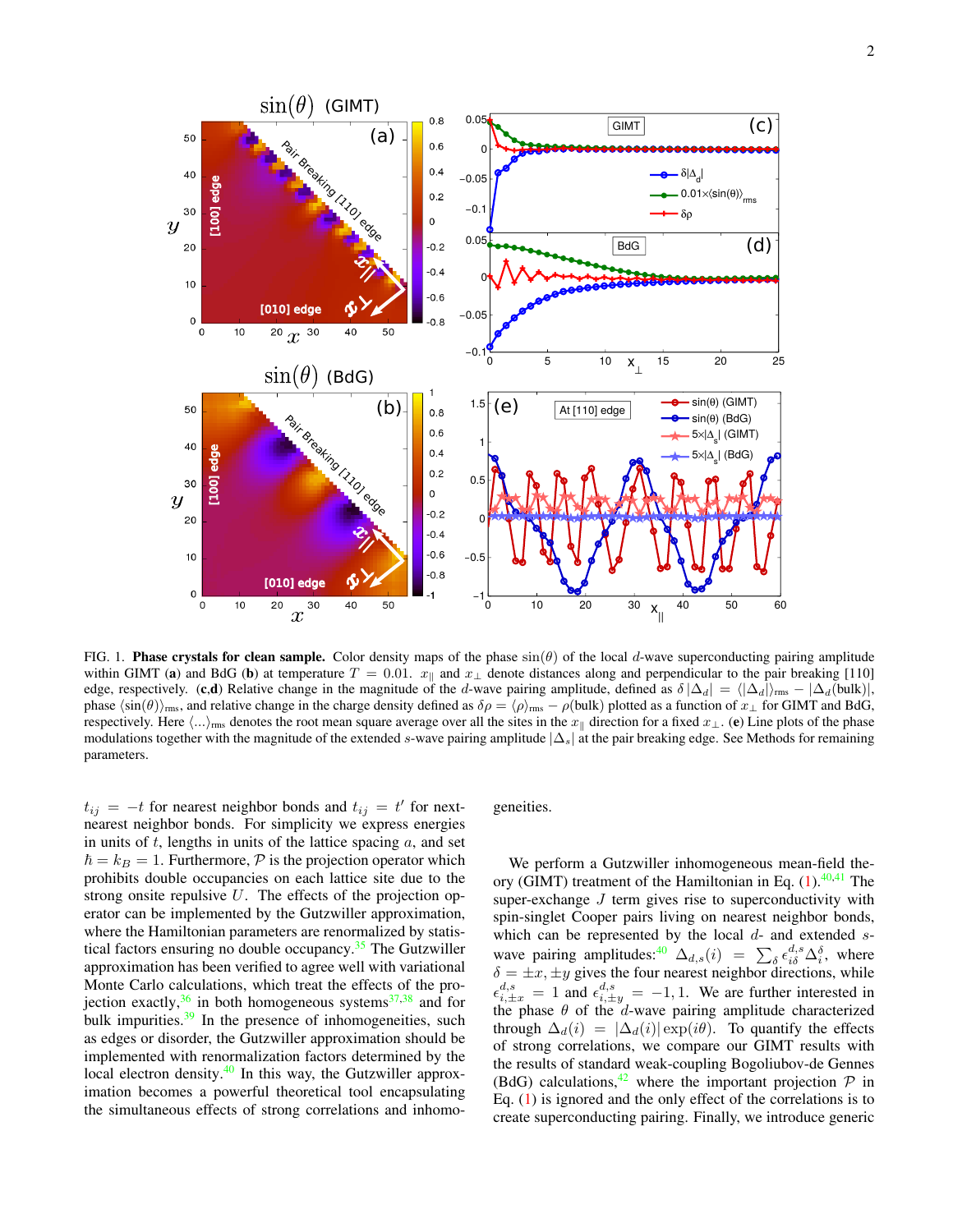

<span id="page-1-0"></span>FIG. 1. **Phase crystals for clean sample.** Color density maps of the phase  $sin(\theta)$  of the local d-wave superconducting pairing amplitude within GIMT (a) and BdG (b) at temperature  $T = 0.01$ .  $x_{\parallel}$  and  $x_{\perp}$  denote distances along and perpendicular to the pair breaking [110] edge, respectively. (c,d) Relative change in the magnitude of the d-wave pairing amplitude, defined as  $\delta |\Delta_d| = \langle |\Delta_d| \rangle_{\rm rms} - |\Delta_d({\rm bulk})|$ , phase  $\langle \sin(\theta) \rangle_{\text{rms}}$ , and relative change in the charge density defined as  $\delta \rho = \langle \rho \rangle_{\text{rms}} - \rho(\text{bulk})$  plotted as a function of  $x_{\perp}$  for GIMT and BdG, respectively. Here  $\langle ... \rangle_{\text{rms}}$  denotes the root mean square average over all the sites in the  $x_{\parallel}$  direction for a fixed  $x_{\perp}$ . (e) Line plots of the phase modulations together with the magnitude of the extended s-wave pairing amplitude  $|\Delta_s|$  at the pair breaking edge. See Methods for remaining parameters.

 $t_{ij} = -t$  for nearest neighbor bonds and  $t_{ij} = t'$  for nextnearest neighbor bonds. For simplicity we express energies in units of  $t$ , lengths in units of the lattice spacing  $a$ , and set  $\hbar = k_B = 1$ . Furthermore, P is the projection operator which prohibits double occupancies on each lattice site due to the strong onsite repulsive  $U$ . The effects of the projection operator can be implemented by the Gutzwiller approximation, where the Hamiltonian parameters are renormalized by statistical factors ensuring no double occupancy. $35$  The Gutzwiller approximation has been verified to agree well with variational Monte Carlo calculations, which treat the effects of the projection exactly,  $36$  in both homogeneous systems  $37,38$  $37,38$  and for bulk impurities. $39$  In the presence of inhomogeneities, such as edges or disorder, the Gutzwiller approximation should be implemented with renormalization factors determined by the local electron density. $40$  In this way, the Gutzwiller approximation becomes a powerful theoretical tool encapsulating the simultaneous effects of strong correlations and inhomo-

geneities.

We perform a Gutzwiller inhomogeneous mean-field theory (GIMT) treatment of the Hamiltonian in Eq.  $(1)$ .<sup>[40](#page-8-21)[,41](#page-8-22)</sup> The super-exchange  $J$  term gives rise to superconductivity with spin-singlet Cooper pairs living on nearest neighbor bonds, which can be represented by the local  $d$ - and extended  $s$ -wave pairing amplitudes:<sup>[40](#page-8-21)</sup>  $\Delta_{d,s}(i) = \sum_{\delta} \epsilon_{i\delta}^{d,s} \Delta_{i}^{\delta}$ , where  $\delta = \pm x, \pm y$  gives the four nearest neighbor directions, while  $\epsilon_{i,\pm x}^{d,s} = 1$  and  $\epsilon_{i,\pm y}^{d,s} = -1, 1$ . We are further interested in the phase  $\theta$  of the d-wave pairing amplitude characterized through  $\Delta_d(i) = |\Delta_d(i)| \exp(i\theta)$ . To quantify the effects of strong correlations, we compare our GIMT results with the results of standard weak-coupling Bogoliubov-de Gennes (BdG) calculations,<sup>[42](#page-8-23)</sup> where the important projection  $P$  in Eq. [\(1\)](#page-0-0) is ignored and the only effect of the correlations is to create superconducting pairing. Finally, we introduce generic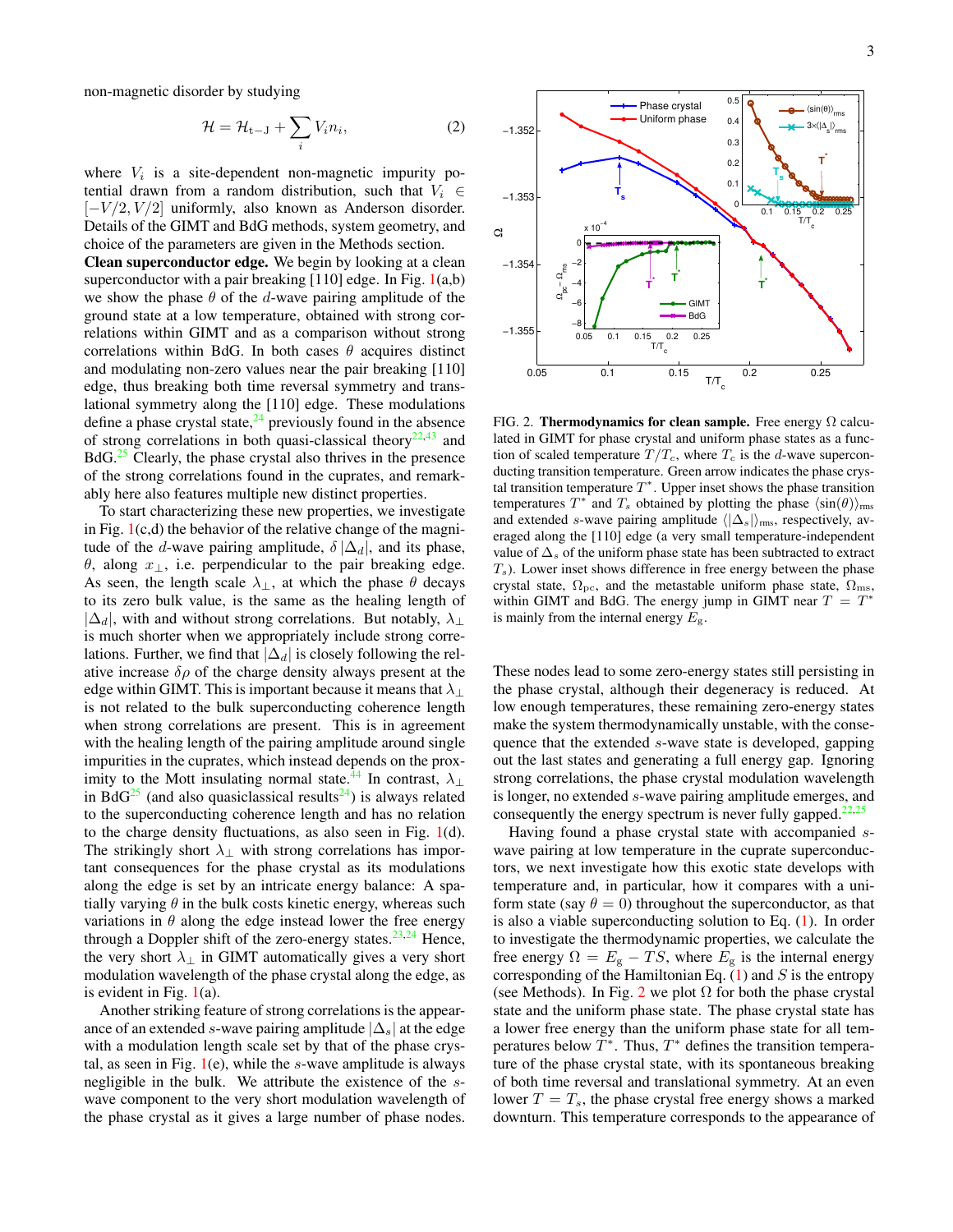non-magnetic disorder by studying

<span id="page-2-1"></span>
$$
\mathcal{H} = \mathcal{H}_{t-J} + \sum_{i} V_i n_i, \tag{2}
$$

where  $V_i$  is a site-dependent non-magnetic impurity potential drawn from a random distribution, such that  $V_i \in$  $[-V/2, V/2]$  uniformly, also known as Anderson disorder. Details of the GIMT and BdG methods, system geometry, and choice of the parameters are given in the Methods section.

Clean superconductor edge. We begin by looking at a clean superconductor with a pair breaking  $[110]$  edge. In Fig.  $1(a,b)$  $1(a,b)$ we show the phase  $\theta$  of the d-wave pairing amplitude of the ground state at a low temperature, obtained with strong correlations within GIMT and as a comparison without strong correlations within BdG. In both cases  $\theta$  acquires distinct and modulating non-zero values near the pair breaking [110] edge, thus breaking both time reversal symmetry and translational symmetry along the [110] edge. These modulations define a phase crystal state,  $^{24}$  $^{24}$  $^{24}$  previously found in the absence of strong correlations in both quasi-classical theory<sup>[22,](#page-8-8)[43](#page-8-25)</sup> and BdG.<sup>[25](#page-8-9)</sup> Clearly, the phase crystal also thrives in the presence of the strong correlations found in the cuprates, and remarkably here also features multiple new distinct properties.

To start characterizing these new properties, we investigate in Fig.  $1(c,d)$  $1(c,d)$  the behavior of the relative change of the magnitude of the d-wave pairing amplitude,  $\delta |\Delta_d|$ , and its phase,  $θ$ , along  $x_⊥$ , i.e. perpendicular to the pair breaking edge. As seen, the length scale  $\lambda_{\perp}$ , at which the phase  $\theta$  decays to its zero bulk value, is the same as the healing length of  $|\Delta_d|$ , with and without strong correlations. But notably,  $\lambda_{\perp}$ is much shorter when we appropriately include strong correlations. Further, we find that  $|\Delta_d|$  is closely following the relative increase  $\delta \rho$  of the charge density always present at the edge within GIMT. This is important because it means that  $\lambda_{\perp}$ is not related to the bulk superconducting coherence length when strong correlations are present. This is in agreement with the healing length of the pairing amplitude around single impurities in the cuprates, which instead depends on the prox-imity to the Mott insulating normal state.<sup>[44](#page-8-26)</sup> In contrast,  $\lambda_{\perp}$ in BdG<sup>[25](#page-8-9)</sup> (and also quasiclassical results<sup>[24](#page-8-24)</sup>) is always related to the superconducting coherence length and has no relation to the charge density fluctuations, as also seen in Fig. [1\(](#page-1-0)d). The strikingly short  $\lambda_{\perp}$  with strong correlations has important consequences for the phase crystal as its modulations along the edge is set by an intricate energy balance: A spatially varying  $\theta$  in the bulk costs kinetic energy, whereas such variations in  $\theta$  along the edge instead lower the free energy through a Doppler shift of the zero-energy states.<sup>[23,](#page-8-27)[24](#page-8-24)</sup> Hence, the very short  $\lambda_{\perp}$  in GIMT automatically gives a very short modulation wavelength of the phase crystal along the edge, as is evident in Fig.  $1(a)$  $1(a)$ .

Another striking feature of strong correlations is the appearance of an extended s-wave pairing amplitude  $|\Delta_s|$  at the edge with a modulation length scale set by that of the phase crystal, as seen in Fig.  $1(e)$  $1(e)$ , while the s-wave amplitude is always negligible in the bulk. We attribute the existence of the swave component to the very short modulation wavelength of the phase crystal as it gives a large number of phase nodes.



<span id="page-2-0"></span>FIG. 2. Thermodynamics for clean sample. Free energy  $\Omega$  calculated in GIMT for phase crystal and uniform phase states as a function of scaled temperature  $T/T_c$ , where  $T_c$  is the d-wave superconducting transition temperature. Green arrow indicates the phase crystal transition temperature  $T^*$ . Upper inset shows the phase transition temperatures  $T^*$  and  $T_s$  obtained by plotting the phase  $\langle \sin(\theta) \rangle_{\text{rms}}$ and extended s-wave pairing amplitude  $\langle |\Delta_s| \rangle_{\text{rms}}$ , respectively, averaged along the [110] edge (a very small temperature-independent value of  $\Delta_s$  of the uniform phase state has been subtracted to extract  $T<sub>s</sub>$ ). Lower inset shows difference in free energy between the phase crystal state,  $\Omega_{\text{pc}}$ , and the metastable uniform phase state,  $\Omega_{\text{ms}}$ , within GIMT and BdG. The energy jump in GIMT near  $T = T^*$ is mainly from the internal energy  $E_{\rm g}$ .

These nodes lead to some zero-energy states still persisting in the phase crystal, although their degeneracy is reduced. At low enough temperatures, these remaining zero-energy states make the system thermodynamically unstable, with the consequence that the extended s-wave state is developed, gapping out the last states and generating a full energy gap. Ignoring strong correlations, the phase crystal modulation wavelength is longer, no extended s-wave pairing amplitude emerges, and consequently the energy spectrum is never fully gapped.<sup>[22,](#page-8-8)[25](#page-8-9)</sup>

Having found a phase crystal state with accompanied swave pairing at low temperature in the cuprate superconductors, we next investigate how this exotic state develops with temperature and, in particular, how it compares with a uniform state (say  $\theta = 0$ ) throughout the superconductor, as that is also a viable superconducting solution to Eq.  $(1)$ . In order to investigate the thermodynamic properties, we calculate the free energy  $\Omega = E_{\rm g} - TS$ , where  $E_{\rm g}$  is the internal energy corresponding of the Hamiltonian Eq.  $(1)$  and S is the entropy (see Methods). In Fig. [2](#page-2-0) we plot  $\Omega$  for both the phase crystal state and the uniform phase state. The phase crystal state has a lower free energy than the uniform phase state for all temperatures below  $T^*$ . Thus,  $T^*$  defines the transition temperature of the phase crystal state, with its spontaneous breaking of both time reversal and translational symmetry. At an even lower  $T = T_s$ , the phase crystal free energy shows a marked downturn. This temperature corresponds to the appearance of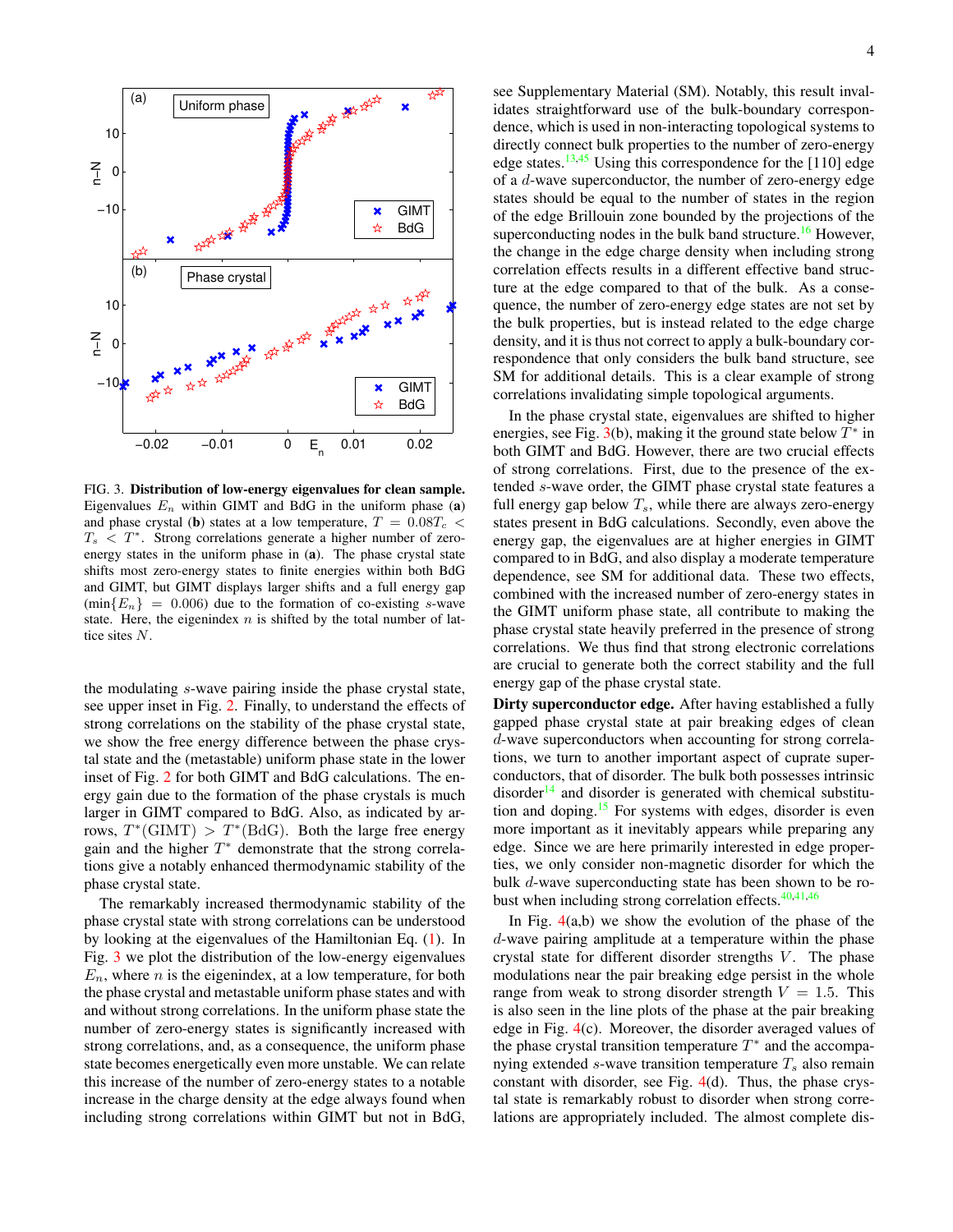

<span id="page-3-0"></span>FIG. 3. Distribution of low-energy eigenvalues for clean sample. Eigenvalues  $E_n$  within GIMT and BdG in the uniform phase (a) and phase crystal (b) states at a low temperature,  $T = 0.08T_c$  $T_s < T^*$ . Strong correlations generate a higher number of zeroenergy states in the uniform phase in (a). The phase crystal state shifts most zero-energy states to finite energies within both BdG and GIMT, but GIMT displays larger shifts and a full energy gap  $(\min{E_n} = 0.006)$  due to the formation of co-existing s-wave state. Here, the eigenindex  $n$  is shifted by the total number of lattice sites N.

the modulating s-wave pairing inside the phase crystal state, see upper inset in Fig. [2.](#page-2-0) Finally, to understand the effects of strong correlations on the stability of the phase crystal state, we show the free energy difference between the phase crystal state and the (metastable) uniform phase state in the lower inset of Fig. [2](#page-2-0) for both GIMT and BdG calculations. The energy gain due to the formation of the phase crystals is much larger in GIMT compared to BdG. Also, as indicated by arrows,  $T^*(\text{GIMT}) > T^*(\text{BdG})$ . Both the large free energy gain and the higher  $T^*$  demonstrate that the strong correlations give a notably enhanced thermodynamic stability of the phase crystal state.

The remarkably increased thermodynamic stability of the phase crystal state with strong correlations can be understood by looking at the eigenvalues of the Hamiltonian Eq. [\(1\)](#page-0-0). In Fig. [3](#page-3-0) we plot the distribution of the low-energy eigenvalues  $E_n$ , where *n* is the eigenindex, at a low temperature, for both the phase crystal and metastable uniform phase states and with and without strong correlations. In the uniform phase state the number of zero-energy states is significantly increased with strong correlations, and, as a consequence, the uniform phase state becomes energetically even more unstable. We can relate this increase of the number of zero-energy states to a notable increase in the charge density at the edge always found when including strong correlations within GIMT but not in BdG, see Supplementary Material (SM). Notably, this result invalidates straightforward use of the bulk-boundary correspondence, which is used in non-interacting topological systems to directly connect bulk properties to the number of zero-energy edge states.<sup>[13,](#page-8-3)[45](#page-8-28)</sup> Using this correspondence for the [110] edge of a d-wave superconductor, the number of zero-energy edge states should be equal to the number of states in the region of the edge Brillouin zone bounded by the projections of the superconducting nodes in the bulk band structure.<sup>[16](#page-8-6)</sup> However, the change in the edge charge density when including strong correlation effects results in a different effective band structure at the edge compared to that of the bulk. As a consequence, the number of zero-energy edge states are not set by the bulk properties, but is instead related to the edge charge density, and it is thus not correct to apply a bulk-boundary correspondence that only considers the bulk band structure, see SM for additional details. This is a clear example of strong correlations invalidating simple topological arguments.

In the phase crystal state, eigenvalues are shifted to higher energies, see Fig.  $3(b)$  $3(b)$ , making it the ground state below  $T^*$  in both GIMT and BdG. However, there are two crucial effects of strong correlations. First, due to the presence of the extended s-wave order, the GIMT phase crystal state features a full energy gap below  $T_s$ , while there are always zero-energy states present in BdG calculations. Secondly, even above the energy gap, the eigenvalues are at higher energies in GIMT compared to in BdG, and also display a moderate temperature dependence, see SM for additional data. These two effects, combined with the increased number of zero-energy states in the GIMT uniform phase state, all contribute to making the phase crystal state heavily preferred in the presence of strong correlations. We thus find that strong electronic correlations are crucial to generate both the correct stability and the full energy gap of the phase crystal state.

Dirty superconductor edge. After having established a fully gapped phase crystal state at pair breaking edges of clean d-wave superconductors when accounting for strong correlations, we turn to another important aspect of cuprate superconductors, that of disorder. The bulk both possesses intrinsic  $disorder<sup>14</sup>$  $disorder<sup>14</sup>$  $disorder<sup>14</sup>$  and disorder is generated with chemical substitution and doping. $15$  For systems with edges, disorder is even more important as it inevitably appears while preparing any edge. Since we are here primarily interested in edge properties, we only consider non-magnetic disorder for which the bulk d-wave superconducting state has been shown to be robust when including strong correlation effects. $40,41,46$  $40,41,46$  $40,41,46$ 

In Fig.  $4(a,b)$  $4(a,b)$  we show the evolution of the phase of the d-wave pairing amplitude at a temperature within the phase crystal state for different disorder strengths  $V$ . The phase modulations near the pair breaking edge persist in the whole range from weak to strong disorder strength  $V = 1.5$ . This is also seen in the line plots of the phase at the pair breaking edge in Fig. [4\(](#page-4-0)c). Moreover, the disorder averaged values of the phase crystal transition temperature  $T^*$  and the accompanying extended s-wave transition temperature  $T_s$  also remain constant with disorder, see Fig. [4\(](#page-4-0)d). Thus, the phase crystal state is remarkably robust to disorder when strong correlations are appropriately included. The almost complete dis-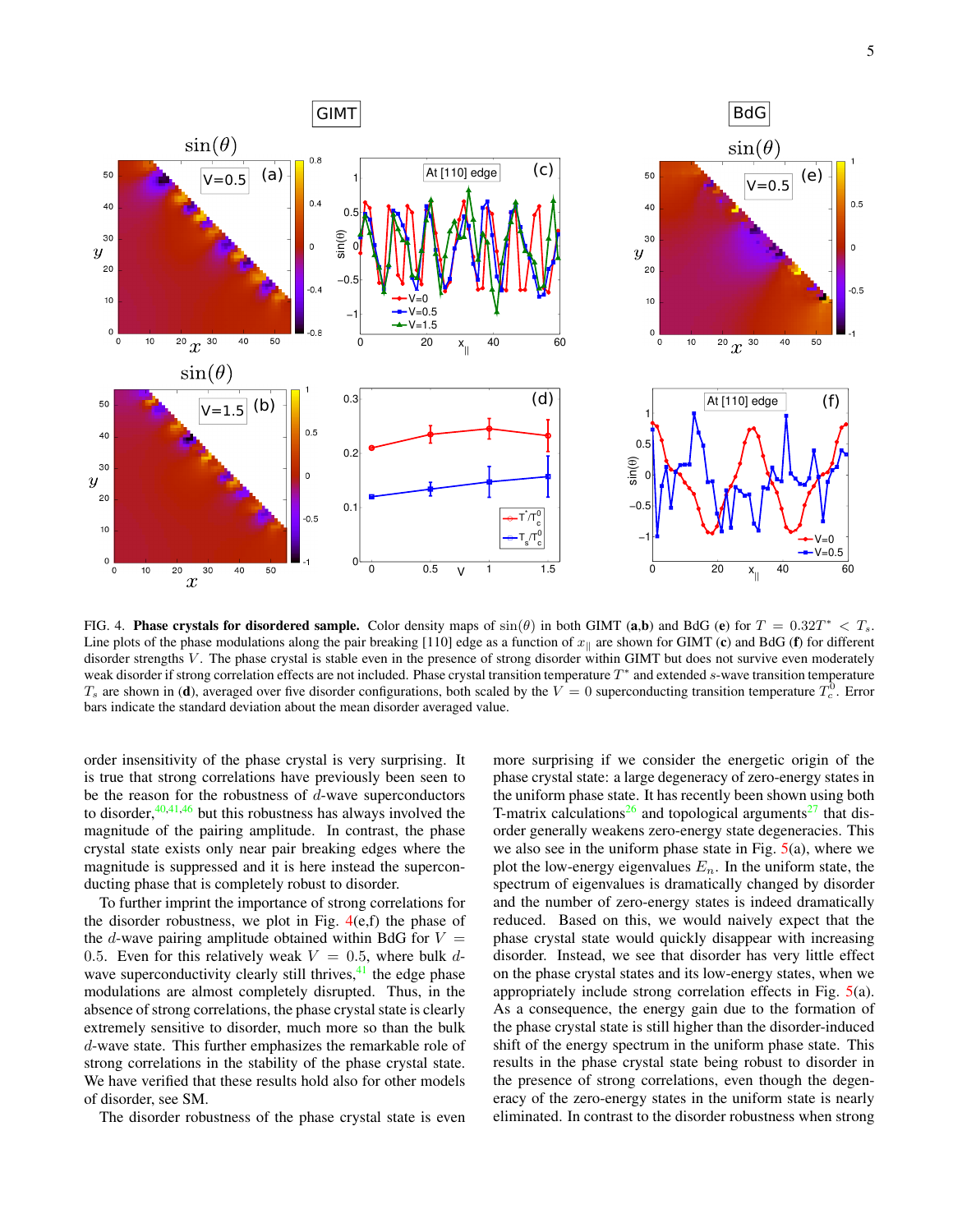

<span id="page-4-0"></span>FIG. 4. Phase crystals for disordered sample. Color density maps of  $sin(\theta)$  in both GIMT (a,b) and BdG (e) for  $T = 0.32T^* < T_s$ . Line plots of the phase modulations along the pair breaking [110] edge as a function of  $x_{\parallel}$  are shown for GIMT (c) and BdG (f) for different disorder strengths V. The phase crystal is stable even in the presence of strong disorder within GIMT but does not survive even moderately weak disorder if strong correlation effects are not included. Phase crystal transition temperature T<sup>\*</sup> and extended s-wave transition temperature  $T_s$  are shown in (d), averaged over five disorder configurations, both scaled by the  $V=0$  superconducting transition temperature  $T_c^0$ . Error bars indicate the standard deviation about the mean disorder averaged value.

order insensitivity of the phase crystal is very surprising. It is true that strong correlations have previously been seen to be the reason for the robustness of  $d$ -wave superconductors to disorder, $40,41,46$  $40,41,46$  $40,41,46$  but this robustness has always involved the magnitude of the pairing amplitude. In contrast, the phase crystal state exists only near pair breaking edges where the magnitude is suppressed and it is here instead the superconducting phase that is completely robust to disorder.

To further imprint the importance of strong correlations for the disorder robustness, we plot in Fig.  $4(e,f)$  $4(e,f)$  the phase of the d-wave pairing amplitude obtained within BdG for  $V =$ 0.5. Even for this relatively weak  $V = 0.5$ , where bulk dwave superconductivity clearly still thrives, $^{41}$  $^{41}$  $^{41}$  the edge phase modulations are almost completely disrupted. Thus, in the absence of strong correlations, the phase crystal state is clearly extremely sensitive to disorder, much more so than the bulk d-wave state. This further emphasizes the remarkable role of strong correlations in the stability of the phase crystal state. We have verified that these results hold also for other models of disorder, see SM.

The disorder robustness of the phase crystal state is even

more surprising if we consider the energetic origin of the phase crystal state: a large degeneracy of zero-energy states in the uniform phase state. It has recently been shown using both T-matrix calculations<sup>[26](#page-8-10)</sup> and topological arguments<sup>[27](#page-8-11)</sup> that disorder generally weakens zero-energy state degeneracies. This we also see in the uniform phase state in Fig.  $5(a)$  $5(a)$ , where we plot the low-energy eigenvalues  $E_n$ . In the uniform state, the spectrum of eigenvalues is dramatically changed by disorder and the number of zero-energy states is indeed dramatically reduced. Based on this, we would naively expect that the phase crystal state would quickly disappear with increasing disorder. Instead, we see that disorder has very little effect on the phase crystal states and its low-energy states, when we appropriately include strong correlation effects in Fig. [5\(](#page-5-0)a). As a consequence, the energy gain due to the formation of the phase crystal state is still higher than the disorder-induced shift of the energy spectrum in the uniform phase state. This results in the phase crystal state being robust to disorder in the presence of strong correlations, even though the degeneracy of the zero-energy states in the uniform state is nearly eliminated. In contrast to the disorder robustness when strong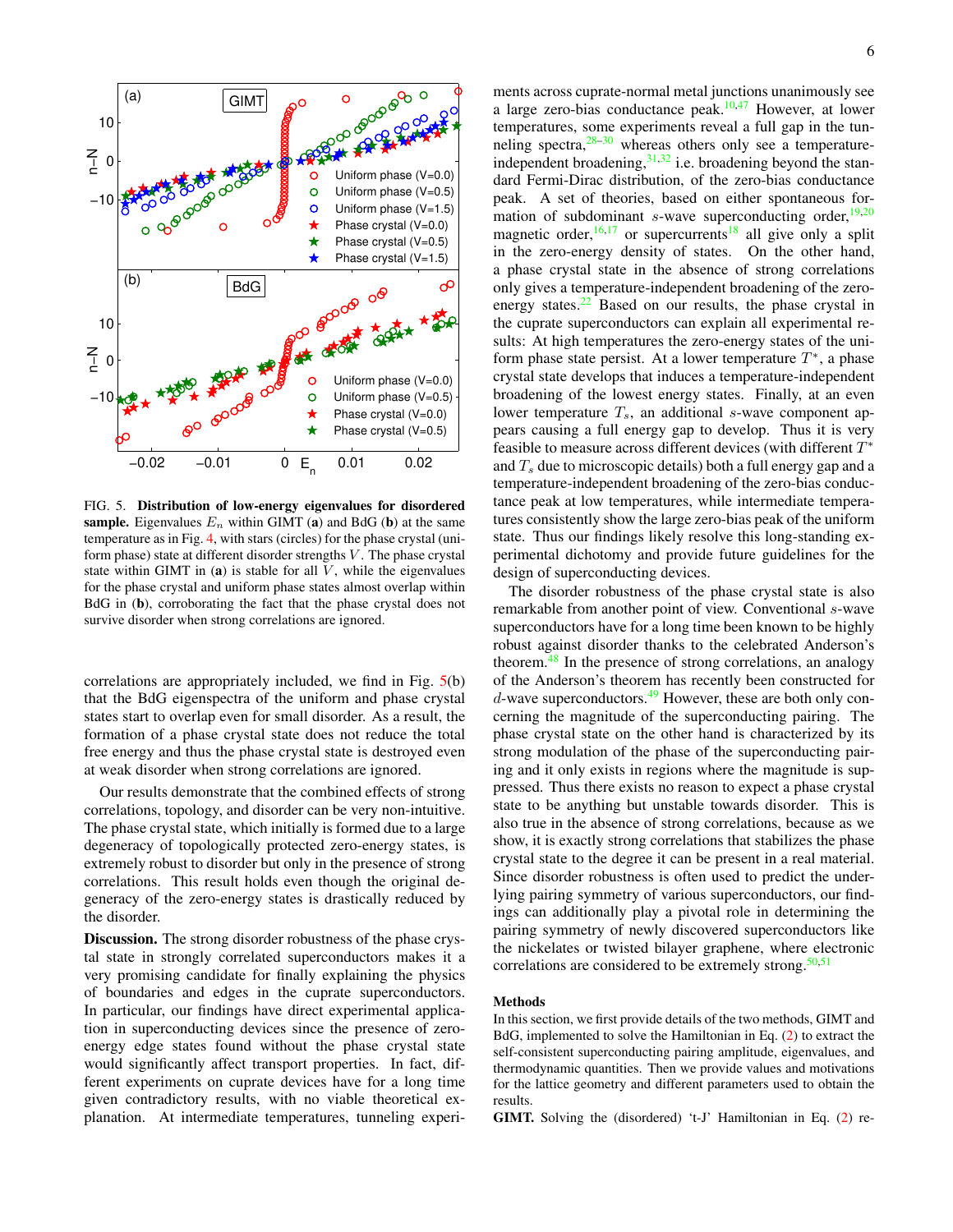

<span id="page-5-0"></span>FIG. 5. Distribution of low-energy eigenvalues for disordered sample. Eigenvalues  $E_n$  within GIMT (a) and BdG (b) at the same temperature as in Fig. [4,](#page-4-0) with stars (circles) for the phase crystal (uniform phase) state at different disorder strengths  $V$ . The phase crystal state within GIMT in (a) is stable for all  $V$ , while the eigenvalues for the phase crystal and uniform phase states almost overlap within BdG in (b), corroborating the fact that the phase crystal does not survive disorder when strong correlations are ignored.

correlations are appropriately included, we find in Fig. [5\(](#page-5-0)b) that the BdG eigenspectra of the uniform and phase crystal states start to overlap even for small disorder. As a result, the formation of a phase crystal state does not reduce the total free energy and thus the phase crystal state is destroyed even at weak disorder when strong correlations are ignored.

Our results demonstrate that the combined effects of strong correlations, topology, and disorder can be very non-intuitive. The phase crystal state, which initially is formed due to a large degeneracy of topologically protected zero-energy states, is extremely robust to disorder but only in the presence of strong correlations. This result holds even though the original degeneracy of the zero-energy states is drastically reduced by the disorder.

Discussion. The strong disorder robustness of the phase crystal state in strongly correlated superconductors makes it a very promising candidate for finally explaining the physics of boundaries and edges in the cuprate superconductors. In particular, our findings have direct experimental application in superconducting devices since the presence of zeroenergy edge states found without the phase crystal state would significantly affect transport properties. In fact, different experiments on cuprate devices have for a long time given contradictory results, with no viable theoretical explanation. At intermediate temperatures, tunneling experiments across cuprate-normal metal junctions unanimously see a large zero-bias conductance peak. $10,47$  $10,47$  However, at lower temperatures, some experiments reveal a full gap in the tunneling spectra, $28-30$  $28-30$  whereas others only see a temperatureindependent broadening,  $31,32$  $31,32$  i.e. broadening beyond the standard Fermi-Dirac distribution, of the zero-bias conductance peak. A set of theories, based on either spontaneous formation of subdominant  $s$ -wave superconducting order,<sup>[19,](#page-8-33)[20](#page-8-34)</sup> magnetic order,  $16,17$  $16,17$  or supercurrents all give only a split in the zero-energy density of states. On the other hand, a phase crystal state in the absence of strong correlations only gives a temperature-independent broadening of the zeroenergy states. $22$  Based on our results, the phase crystal in the cuprate superconductors can explain all experimental results: At high temperatures the zero-energy states of the uniform phase state persist. At a lower temperature  $T^*$ , a phase crystal state develops that induces a temperature-independent broadening of the lowest energy states. Finally, at an even lower temperature  $T_s$ , an additional s-wave component appears causing a full energy gap to develop. Thus it is very feasible to measure across different devices (with different  $T^*$ and  $T<sub>s</sub>$  due to microscopic details) both a full energy gap and a temperature-independent broadening of the zero-bias conductance peak at low temperatures, while intermediate temperatures consistently show the large zero-bias peak of the uniform state. Thus our findings likely resolve this long-standing experimental dichotomy and provide future guidelines for the design of superconducting devices.

The disorder robustness of the phase crystal state is also remarkable from another point of view. Conventional s-wave superconductors have for a long time been known to be highly robust against disorder thanks to the celebrated Anderson's theorem.[48](#page-8-37) In the presence of strong correlations, an analogy of the Anderson's theorem has recently been constructed for  $d$ -wave superconductors.<sup>[49](#page-8-38)</sup> However, these are both only concerning the magnitude of the superconducting pairing. The phase crystal state on the other hand is characterized by its strong modulation of the phase of the superconducting pairing and it only exists in regions where the magnitude is suppressed. Thus there exists no reason to expect a phase crystal state to be anything but unstable towards disorder. This is also true in the absence of strong correlations, because as we show, it is exactly strong correlations that stabilizes the phase crystal state to the degree it can be present in a real material. Since disorder robustness is often used to predict the underlying pairing symmetry of various superconductors, our findings can additionally play a pivotal role in determining the pairing symmetry of newly discovered superconductors like the nickelates or twisted bilayer graphene, where electronic correlations are considered to be extremely strong. $50,51$  $50,51$ 

## Methods

In this section, we first provide details of the two methods, GIMT and BdG, implemented to solve the Hamiltonian in Eq. [\(2\)](#page-2-1) to extract the self-consistent superconducting pairing amplitude, eigenvalues, and thermodynamic quantities. Then we provide values and motivations for the lattice geometry and different parameters used to obtain the results.

GIMT. Solving the (disordered) 't-J' Hamiltonian in Eq. [\(2\)](#page-2-1) re-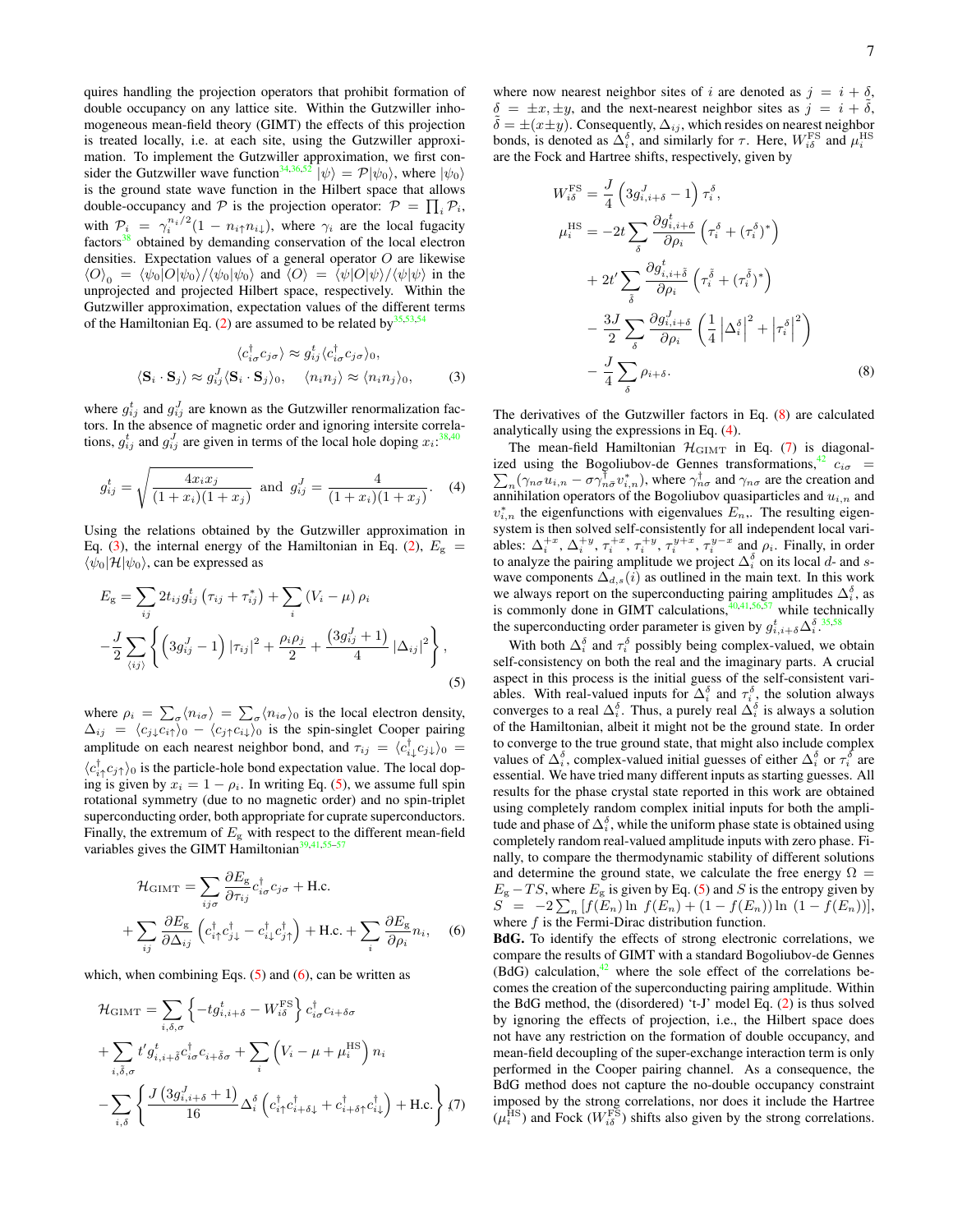quires handling the projection operators that prohibit formation of double occupancy on any lattice site. Within the Gutzwiller inhomogeneous mean-field theory (GIMT) the effects of this projection is treated locally, i.e. at each site, using the Gutzwiller approximation. To implement the Gutzwiller approximation, we first con-sider the Gutzwiller wave function<sup>[34,](#page-8-15)[36,](#page-8-17)[52](#page-8-41)</sup>  $|\psi\rangle = \mathcal{P}|\psi_0\rangle$ , where  $|\psi_0\rangle$ is the ground state wave function in the Hilbert space that allows double-occupancy and  $P$  is the projection operator:  $P = \prod_i P_i$ , with  $P_i = \gamma_i^{n_i/2} (1 - n_i \uparrow n_i)$ , where  $\gamma_i$  are the local fugacity factors<sup>[38](#page-8-19)</sup> obtained by demanding conservation of the local electron densities. Expectation values of a general operator  $O$  are likewise  $\langle O \rangle_0 = \langle \psi_0 | O | \psi_0 \rangle / \langle \psi_0 | \psi_0 \rangle$  and  $\langle O \rangle = \langle \psi | O | \psi \rangle / \langle \psi | \psi \rangle$  in the unprojected and projected Hilbert space, respectively. Within the Gutzwiller approximation, expectation values of the different terms of the Hamiltonian Eq. [\(2\)](#page-2-1) are assumed to be related by  $35,53,54$  $35,53,54$  $35,53,54$ 

<span id="page-6-0"></span>
$$
\langle c_{i\sigma}^{\dagger} c_{j\sigma} \rangle \approx g_{ij}^{t} \langle c_{i\sigma}^{\dagger} c_{j\sigma} \rangle_{0},
$$
  

$$
\langle \mathbf{S}_{i} \cdot \mathbf{S}_{j} \rangle \approx g_{ij}^{J} \langle \mathbf{S}_{i} \cdot \mathbf{S}_{j} \rangle_{0}, \quad \langle n_{i} n_{j} \rangle \approx \langle n_{i} n_{j} \rangle_{0},
$$
 (3)

where  $g_{ij}^t$  and  $g_{ij}^J$  are known as the Gutzwiller renormalization factors. In the absence of magnetic order and ignoring intersite correlations,  $g_{ij}^t$  and  $g_{ij}^J$  are given in terms of the local hole doping  $x_i:$ <sup>[38,](#page-8-19)[40](#page-8-21)</sup>

<span id="page-6-4"></span>
$$
g_{ij}^t = \sqrt{\frac{4x_ix_j}{(1+x_i)(1+x_j)}} \text{ and } g_{ij}^J = \frac{4}{(1+x_i)(1+x_j)}.
$$
 (4)

Using the relations obtained by the Gutzwiller approximation in Eq. [\(3\)](#page-6-0), the internal energy of the Hamiltonian in Eq. [\(2\)](#page-2-1),  $E_{\rm g}$  =  $\langle \psi_0 | \mathcal{H} | \psi_0 \rangle$ , can be expressed as

<span id="page-6-1"></span>
$$
E_{\rm g} = \sum_{ij} 2t_{ij} g_{ij}^t \left( \tau_{ij} + \tau_{ij}^* \right) + \sum_i \left( V_i - \mu \right) \rho_i
$$
  

$$
- \frac{J}{2} \sum_{\langle ij \rangle} \left\{ \left( 3g_{ij}^J - 1 \right) |\tau_{ij}|^2 + \frac{\rho_i \rho_j}{2} + \frac{\left( 3g_{ij}^J + 1 \right)}{4} |\Delta_{ij}|^2 \right\},\tag{5}
$$

where  $\rho_i = \sum_{\sigma} \langle n_{i\sigma} \rangle = \sum_{\sigma} \langle n_{i\sigma} \rangle_0$  is the local electron density,  $\Delta_{ij} = \langle c_{j\downarrow} c_{i\uparrow}\rangle_0 - \langle c_{j\uparrow} c_{i\downarrow}\rangle_0$  is the spin-singlet Cooper pairing amplitude on each nearest neighbor bond, and  $\tau_{ij} = \langle c_{i\downarrow}^{\dagger} c_{j\downarrow} \rangle_0 =$  $\langle c_{i\uparrow}^{\dagger} c_{j\uparrow} \rangle_0$  is the particle-hole bond expectation value. The local doping is given by  $x_i = 1 - \rho_i$ . In writing Eq. [\(5\)](#page-6-1), we assume full spin rotational symmetry (due to no magnetic order) and no spin-triplet superconducting order, both appropriate for cuprate superconductors. Finally, the extremum of  $E<sub>g</sub>$  with respect to the different mean-field variables gives the GIMT Hamiltonian $39,41,55-57$  $39,41,55-57$  $39,41,55-57$  $39,41,55-57$ 

<span id="page-6-2"></span>
$$
\mathcal{H}_{\text{GIMT}} = \sum_{ij\sigma} \frac{\partial E_{\text{g}}}{\partial \tau_{ij}} c_{i\sigma}^{\dagger} c_{j\sigma} + \text{H.c.}
$$

$$
+ \sum_{ij} \frac{\partial E_{\text{g}}}{\partial \Delta_{ij}} \left( c_{i\uparrow}^{\dagger} c_{j\downarrow}^{\dagger} - c_{i\downarrow}^{\dagger} c_{j\uparrow}^{\dagger} \right) + \text{H.c.} + \sum_{i} \frac{\partial E_{\text{g}}}{\partial \rho_{i}} n_{i}, \quad (6)
$$

which, when combining Eqs.  $(5)$  and  $(6)$ , can be written as

<span id="page-6-5"></span>
$$
\mathcal{H}_{\text{GIMT}} = \sum_{i,\delta,\sigma} \left\{ -t g_{i,i+\delta}^t - W_{i\delta}^{\text{FS}} \right\} c_{i\sigma}^\dagger c_{i+\delta\sigma} \n+ \sum_{i,\tilde{\delta},\sigma} t' g_{i,i+\tilde{\delta}}^t c_{i\sigma}^\dagger c_{i+\tilde{\delta}\sigma} + \sum_i \left( V_i - \mu + \mu_i^{\text{HS}} \right) n_i \n- \sum_{i,\delta} \left\{ \frac{J (3 g_{i,i+\delta}^J + 1)}{16} \Delta_i^\delta \left( c_{i\uparrow}^\dagger c_{i+\delta\downarrow}^\dagger + c_{i+\delta\uparrow}^\dagger c_{i\downarrow}^\dagger \right) + \text{H.c.} \right\} \langle 7 \rangle
$$

where now nearest neighbor sites of i are denoted as  $j = i + \delta$ ,  $\delta = \pm x, \pm y$ , and the next-nearest neighbor sites as  $j = i + \delta$ ,  $\tilde{\delta} = \pm (x \pm y)$ . Consequently,  $\Delta_{ij}$ , which resides on nearest neighbor bonds, is denoted as  $\Delta_i^{\delta}$ , and similarly for  $\tau$ . Here,  $W_{i\delta}^{\text{FS}}$  and  $\mu_i^{\text{HS}}$ are the Fock and Hartree shifts, respectively, given by

<span id="page-6-3"></span>
$$
W_{i\delta}^{\text{FS}} = \frac{J}{4} \left( 3g_{i,i+\delta}^{J} - 1 \right) \tau_i^{\delta},
$$
  
\n
$$
\mu_i^{\text{HS}} = -2t \sum_{\delta} \frac{\partial g_{i,i+\delta}^{t}}{\partial \rho_i} \left( \tau_i^{\delta} + (\tau_i^{\delta})^* \right)
$$
  
\n
$$
+ 2t' \sum_{\delta} \frac{\partial g_{i,i+\delta}^{t}}{\partial \rho_i} \left( \tau_i^{\delta} + (\tau_i^{\delta})^* \right)
$$
  
\n
$$
- \frac{3J}{2} \sum_{\delta} \frac{\partial g_{i,i+\delta}^{J}}{\partial \rho_i} \left( \frac{1}{4} \left| \Delta_i^{\delta} \right|^2 + \left| \tau_i^{\delta} \right|^2 \right)
$$
  
\n
$$
- \frac{J}{4} \sum_{\delta} \rho_{i+\delta}.
$$
  
\n(8)

The derivatives of the Gutzwiller factors in Eq. [\(8\)](#page-6-3) are calculated analytically using the expressions in Eq. [\(4\)](#page-6-4).

The mean-field Hamiltonian  $\mathcal{H}_{\text{GIMT}}$  in Eq. [\(7\)](#page-6-5) is diagonal-ized using the Bogoliubov-de Gennes transformations,<sup>[42](#page-8-23)</sup>  $c_{i\sigma}$  = ized using the Bogoliubov-de Gennes transformations,<sup>42</sup>  $c_{i\sigma} = \sum_n (\gamma_{n\sigma} u_{i,n} - \sigma \gamma_{n\bar{\sigma}}^{\dagger} v_{i,n}^*),$  where  $\gamma_{n\sigma}^{\dagger}$  and  $\gamma_{n\sigma}$  are the creation and annihilation operators of the Bogoliubov quasiparticles and  $u_{i,n}$  and  $v_{i,n}^*$  the eigenfunctions with eigenvalues  $E_n$ . The resulting eigensystem is then solved self-consistently for all independent local variables:  $\Delta_i^{+x}$ ,  $\Delta_i^{+y}$ ,  $\tau_i^{+x}$ ,  $\tau_i^{+y}$ ,  $\tau_i^{y+x}$ ,  $\tau_i^{y-x}$  and  $\rho_i$ . Finally, in order to analyze the pairing amplitude we project  $\Delta_i^{\delta}$  on its local d- and swave components  $\Delta_{d,s}(i)$  as outlined in the main text. In this work we always report on the superconducting pairing amplitudes  $\Delta_i^{\delta}$ , as is commonly done in GIMT calculations,  $\frac{40,41,56,57}{40}$  $\frac{40,41,56,57}{40}$  $\frac{40,41,56,57}{40}$  $\frac{40,41,56,57}{40}$  $\frac{40,41,56,57}{40}$  $\frac{40,41,56,57}{40}$  while technically the superconducting order parameter is given by  $g_{i,i+\delta}^t \Delta_i^{\delta}$ .<sup>[35](#page-8-16)[,58](#page-8-47)</sup>

With both  $\Delta_i^{\delta}$  and  $\tau_i^{\delta}$  possibly being complex-valued, we obtain self-consistency on both the real and the imaginary parts. A crucial aspect in this process is the initial guess of the self-consistent variables. With real-valued inputs for  $\Delta_i^{\delta}$  and  $\tau_i^{\delta}$ , the solution always converges to a real  $\Delta_i^{\delta}$ . Thus, a purely real  $\Delta_i^{\delta}$  is always a solution of the Hamiltonian, albeit it might not be the ground state. In order to converge to the true ground state, that might also include complex values of  $\Delta_i^{\delta}$ , complex-valued initial guesses of either  $\Delta_i^{\delta}$  or  $\tau_i^{\delta}$  are essential. We have tried many different inputs as starting guesses. All results for the phase crystal state reported in this work are obtained using completely random complex initial inputs for both the amplitude and phase of  $\Delta_i^{\delta}$ , while the uniform phase state is obtained using completely random real-valued amplitude inputs with zero phase. Finally, to compare the thermodynamic stability of different solutions and determine the ground state, we calculate the free energy  $\Omega =$  $E_{\rm g}$  – TS, where  $E_{\rm g}$  is given by Eq. [\(5\)](#page-6-1) and S is the entropy given by  $S = -2\sum_{n} [f(E_n) \ln f(E_n) + (1 - f(E_n)) \ln (1 - f(E_n))],$ where  $f$  is the Fermi-Dirac distribution function.

BdG. To identify the effects of strong electronic correlations, we compare the results of GIMT with a standard Bogoliubov-de Gennes  $(BdG)$  calculation,<sup>[42](#page-8-23)</sup> where the sole effect of the correlations becomes the creation of the superconducting pairing amplitude. Within the BdG method, the (disordered) 't-J' model Eq. [\(2\)](#page-2-1) is thus solved by ignoring the effects of projection, i.e., the Hilbert space does not have any restriction on the formation of double occupancy, and mean-field decoupling of the super-exchange interaction term is only performed in the Cooper pairing channel. As a consequence, the BdG method does not capture the no-double occupancy constraint imposed by the strong correlations, nor does it include the Hartree  $(\mu_i^{\text{HS}})$  and Fock  $(W_{i\delta}^{\text{FS}})$  shifts also given by the strong correlations.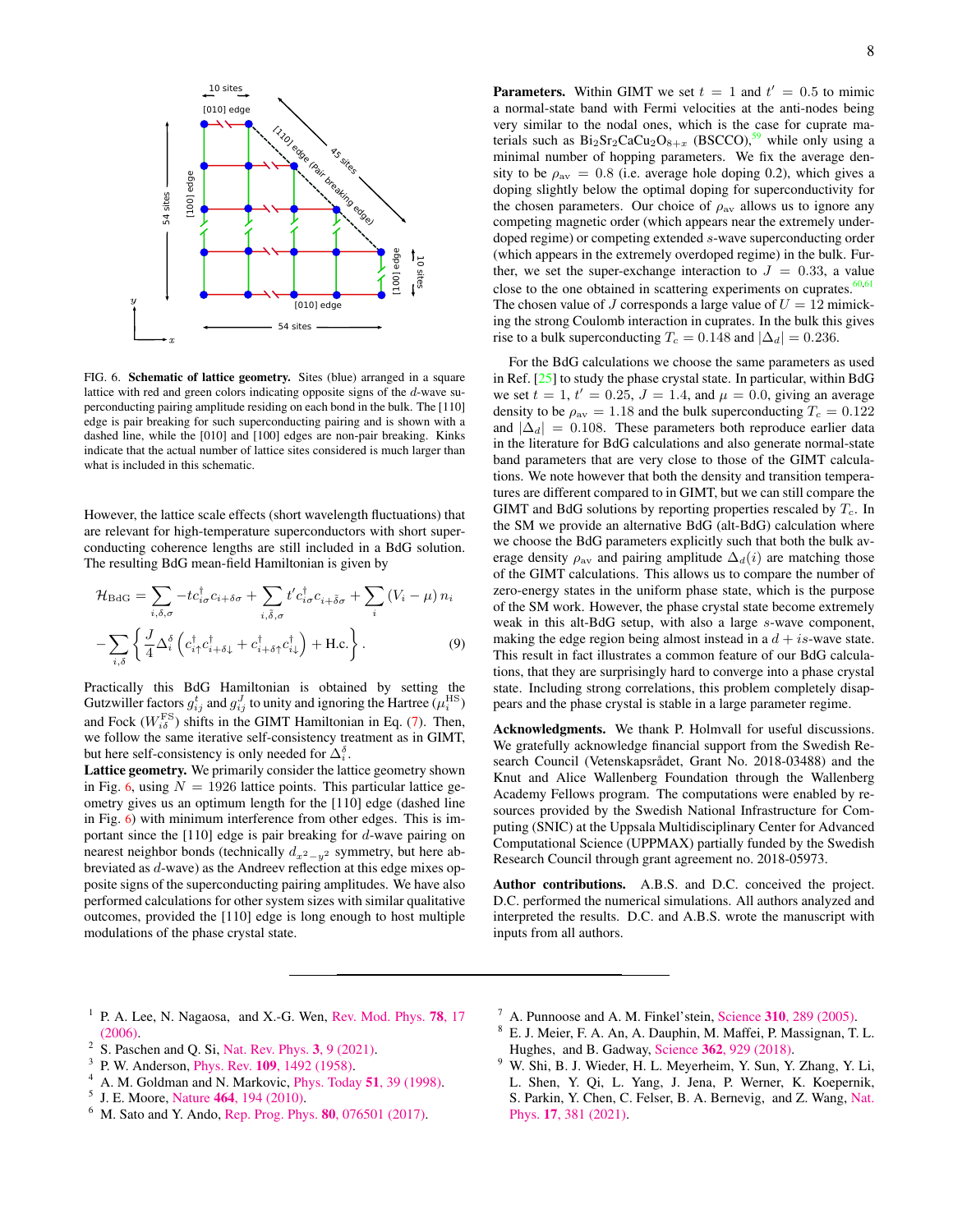

<span id="page-7-8"></span>FIG. 6. Schematic of lattice geometry. Sites (blue) arranged in a square lattice with red and green colors indicating opposite signs of the d-wave superconducting pairing amplitude residing on each bond in the bulk. The [110] edge is pair breaking for such superconducting pairing and is shown with a dashed line, while the [010] and [100] edges are non-pair breaking. Kinks indicate that the actual number of lattice sites considered is much larger than what is included in this schematic.

However, the lattice scale effects (short wavelength fluctuations) that are relevant for high-temperature superconductors with short superconducting coherence lengths are still included in a BdG solution. The resulting BdG mean-field Hamiltonian is given by

<span id="page-7-9"></span>
$$
\mathcal{H}_{\text{BdG}} = \sum_{i,\delta,\sigma} -tc_{i\sigma}^{\dagger} c_{i+\delta\sigma} + \sum_{i,\tilde{\delta},\sigma} t' c_{i\sigma}^{\dagger} c_{i+\tilde{\delta}\sigma} + \sum_{i} (V_i - \mu) n_i
$$

$$
-\sum_{i,\delta} \left\{ \frac{J}{4} \Delta_i^{\delta} \left( c_{i\uparrow}^{\dagger} c_{i+\delta\downarrow}^{\dagger} + c_{i+\delta\uparrow}^{\dagger} c_{i\downarrow}^{\dagger} \right) + \text{H.c.} \right\}.
$$
(9)

Practically this BdG Hamiltonian is obtained by setting the Gutzwiller factors  $g_{ij}^t$  and  $g_{ij}^J$  to unity and ignoring the Hartree  $(\mu_i^{\text{HS}})$ and Fock ( $W_{i\delta}^{\text{FS}}$ ) shifts in the GIMT Hamiltonian in Eq. [\(7\)](#page-6-5). Then, we follow the same iterative self-consistency treatment as in GIMT, but here self-consistency is only needed for  $\Delta_i^{\delta}$ .

Lattice geometry. We primarily consider the lattice geometry shown in Fig. [6](#page-7-8), using  $N = 1926$  lattice points. This particular lattice geometry gives us an optimum length for the [110] edge (dashed line in Fig. [6](#page-7-8)) with minimum interference from other edges. This is important since the [110] edge is pair breaking for d-wave pairing on nearest neighbor bonds (technically  $d_{x^2-y^2}$  symmetry, but here abbreviated as d-wave) as the Andreev reflection at this edge mixes opposite signs of the superconducting pairing amplitudes. We have also performed calculations for other system sizes with similar qualitative outcomes, provided the [110] edge is long enough to host multiple modulations of the phase crystal state.

**Parameters.** Within GIMT we set  $t = 1$  and  $t' = 0.5$  to mimic a normal-state band with Fermi velocities at the anti-nodes being very similar to the nodal ones, which is the case for cuprate materials such as  $Bi_2Sr_2CaCu_2O_{8+x}$  (BSCCO),<sup>[59](#page-8-48)</sup> while only using a minimal number of hopping parameters. We fix the average density to be  $\rho_{av} = 0.8$  (i.e. average hole doping 0.2), which gives a doping slightly below the optimal doping for superconductivity for the chosen parameters. Our choice of  $\rho_{av}$  allows us to ignore any competing magnetic order (which appears near the extremely underdoped regime) or competing extended s-wave superconducting order (which appears in the extremely overdoped regime) in the bulk. Further, we set the super-exchange interaction to  $J = 0.33$ , a value close to the one obtained in scattering experiments on cuprates. $60,61$  $60,61$ The chosen value of J corresponds a large value of  $U = 12$  mimicking the strong Coulomb interaction in cuprates. In the bulk this gives rise to a bulk superconducting  $T_c = 0.148$  and  $|\Delta_d| = 0.236$ .

For the BdG calculations we choose the same parameters as used in Ref. [\[25\]](#page-8-9) to study the phase crystal state. In particular, within BdG we set  $t = 1, t' = 0.25, J = 1.4$ , and  $\mu = 0.0$ , giving an average density to be  $\rho_{\text{av}} = 1.18$  and the bulk superconducting  $T_c = 0.122$ and  $|\Delta_d| = 0.108$ . These parameters both reproduce earlier data in the literature for BdG calculations and also generate normal-state band parameters that are very close to those of the GIMT calculations. We note however that both the density and transition temperatures are different compared to in GIMT, but we can still compare the GIMT and BdG solutions by reporting properties rescaled by  $T_c$ . In the SM we provide an alternative BdG (alt-BdG) calculation where we choose the BdG parameters explicitly such that both the bulk average density  $\rho_{av}$  and pairing amplitude  $\Delta_d(i)$  are matching those of the GIMT calculations. This allows us to compare the number of zero-energy states in the uniform phase state, which is the purpose of the SM work. However, the phase crystal state become extremely weak in this alt-BdG setup, with also a large s-wave component, making the edge region being almost instead in a  $d + is$ -wave state. This result in fact illustrates a common feature of our BdG calculations, that they are surprisingly hard to converge into a phase crystal state. Including strong correlations, this problem completely disappears and the phase crystal is stable in a large parameter regime.

Acknowledgments. We thank P. Holmvall for useful discussions. We gratefully acknowledge financial support from the Swedish Research Council (Vetenskapsrådet, Grant No. 2018-03488) and the Knut and Alice Wallenberg Foundation through the Wallenberg Academy Fellows program. The computations were enabled by resources provided by the Swedish National Infrastructure for Computing (SNIC) at the Uppsala Multidisciplinary Center for Advanced Computational Science (UPPMAX) partially funded by the Swedish Research Council through grant agreement no. 2018-05973.

Author contributions. A.B.S. and D.C. conceived the project. D.C. performed the numerical simulations. All authors analyzed and interpreted the results. D.C. and A.B.S. wrote the manuscript with inputs from all authors.

- <span id="page-7-0"></span><sup>1</sup> P. A. Lee, N. Nagaosa, and X.-G. Wen, [Rev. Mod. Phys.](http://dx.doi.org/10.1103/RevModPhys.78.17) 78, 17 [\(2006\).](http://dx.doi.org/10.1103/RevModPhys.78.17) 2
- <span id="page-7-1"></span>S. Paschen and Q. Si, [Nat. Rev. Phys.](http://dx.doi.org/10.1038/s42254-020-00262-6) 3, 9 (2021).
- <span id="page-7-2"></span>3 P. W. Anderson, Phys. Rev. 109[, 1492 \(1958\).](http://dx.doi.org/10.1103/PhysRev.109.1492)
- <span id="page-7-3"></span><sup>4</sup> A. M. Goldman and N. Markovic, [Phys. Today](https://physicstoday.scitation.org/doi/10.1063/1.882069) 51, 39 (1998).
- <span id="page-7-4"></span><sup>5</sup> J. E. Moore, Nature 464[, 194 \(2010\).](http://dx.doi.org/10.1038/nature08916)
- <span id="page-7-5"></span><sup>6</sup> M. Sato and Y. Ando, [Rep. Prog. Phys.](http://dx.doi.org/10.1088/1361-6633/aa6ac7) 80, 076501 (2017).
- <span id="page-7-6"></span> $^7$  A. Punnoose and A. M. Finkel'stein, Science 310[, 289 \(2005\).](http://dx.doi.org/10.1126/science.1115660)
- <sup>8</sup> E. J. Meier, F. A. An, A. Dauphin, M. Maffei, P. Massignan, T. L. Hughes, and B. Gadway, Science 362[, 929 \(2018\).](http://dx.doi.org/ 10.1126/science.aat3406)
- <span id="page-7-7"></span> $9^9$  W. Shi, B. J. Wieder, H. L. Meyerheim, Y. Sun, Y. Zhang, Y. Li, L. Shen, Y. Qi, L. Yang, J. Jena, P. Werner, K. Koepernik, S. Parkin, Y. Chen, C. Felser, B. A. Bernevig, and Z. Wang, [Nat.](http://dx.doi.org/10.1038/s41567-020-01104-z) Phys. 17[, 381 \(2021\).](http://dx.doi.org/10.1038/s41567-020-01104-z)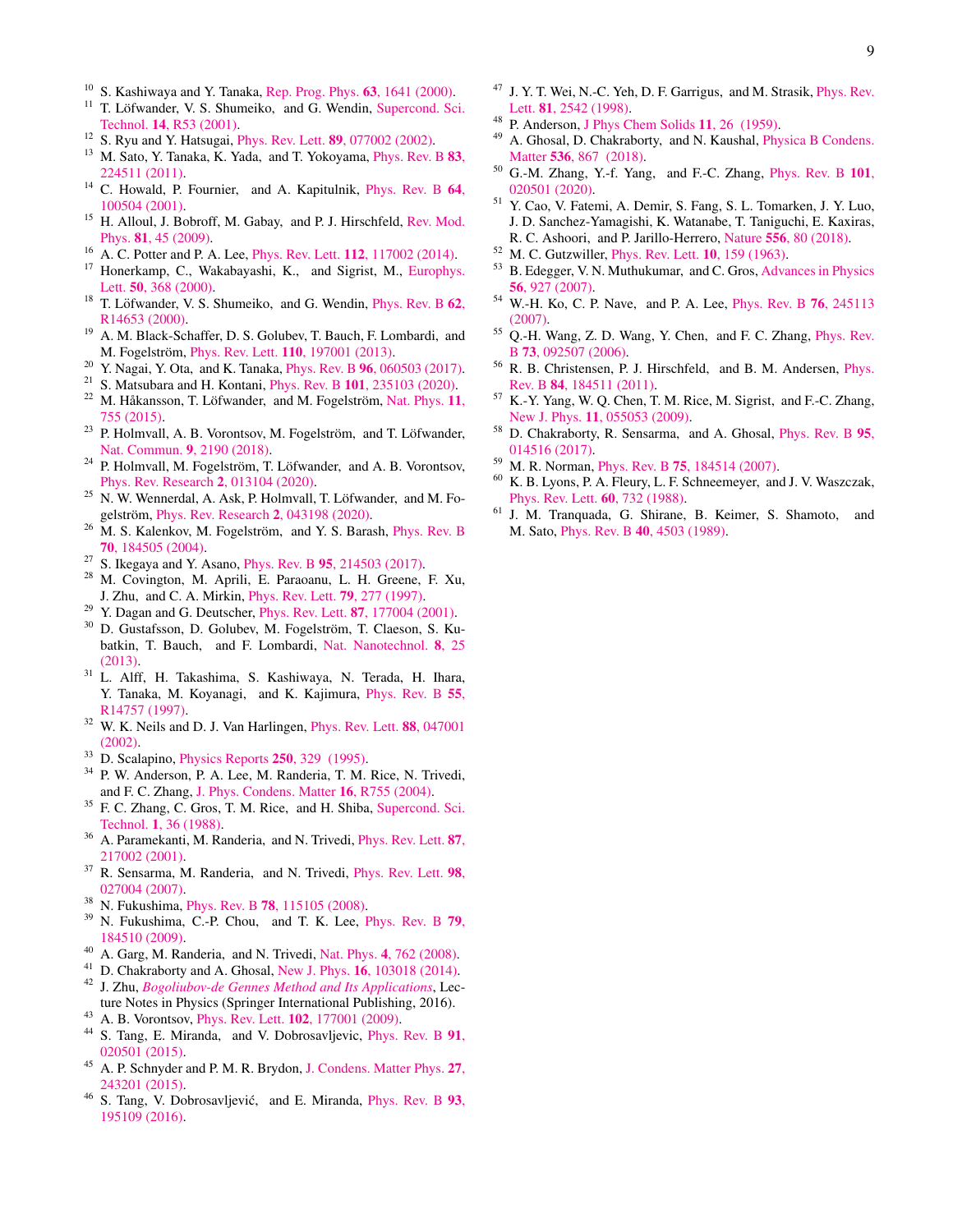- <span id="page-8-0"></span><sup>10</sup> S. Kashiwaya and Y. Tanaka, [Rep. Prog. Phys.](http://dx.doi.org/10.1088/0034-4885/63/10/202) **63**, 1641 (2000).<br><sup>11</sup> T. Löfwander, V. S. Shumeiko and G. Wendin, Supercond, Sc.
- <span id="page-8-1"></span>T. Löfwander, V. S. Shumeiko, and G. Wendin, [Supercond. Sci.](http://dx.doi.org/10.1088/0953-2048/14/5/201) Technol. 14[, R53 \(2001\).](http://dx.doi.org/10.1088/0953-2048/14/5/201)
- <span id="page-8-2"></span><sup>12</sup> S. Ryu and Y. Hatsugai, Phys. Rev. Lett. **89**[, 077002 \(2002\).](http://dx.doi.org/10.1103/PhysRevLett.89.077002)<br><sup>13</sup> M. Seto. Y. Tanska, *Y.* Yede. and T. Yekovama, Phys. Pev. 1
- <span id="page-8-3"></span>M. Sato, Y. Tanaka, K. Yada, and T. Yokoyama, [Phys. Rev. B](http://dx.doi.org/ 10.1103/PhysRevB.83.224511) 83, [224511 \(2011\).](http://dx.doi.org/ 10.1103/PhysRevB.83.224511)
- <span id="page-8-4"></span><sup>14</sup> C. Howald, P. Fournier, and A. Kapitulnik, *[Phys. Rev. B](http://dx.doi.org/10.1103/PhysRevB.64.100504)* 64, [100504 \(2001\).](http://dx.doi.org/10.1103/PhysRevB.64.100504)
- <span id="page-8-5"></span><sup>15</sup> H. Alloul, J. Bobroff, M. Gabay, and P. J. Hirschfeld, [Rev. Mod.](http://dx.doi.org/10.1103/RevModPhys.81.45) Phys. 81[, 45 \(2009\).](http://dx.doi.org/10.1103/RevModPhys.81.45)
- <span id="page-8-6"></span><sup>16</sup> A. C. Potter and P. A. Lee, *Phys. Rev. Lett.* **112**[, 117002 \(2014\).](http://dx.doi.org/10.1103/PhysRevLett.112.117002)
- <span id="page-8-35"></span><sup>17</sup> Honerkamp, C., Wakabayashi, K., and Sigrist, M., [Europhys.](http://dx.doi.org/ 10.1209/epl/i2000-00280-2) Lett. 50[, 368 \(2000\).](http://dx.doi.org/ 10.1209/epl/i2000-00280-2)
- <span id="page-8-36"></span> $18$  T. Löfwander, V. S. Shumeiko, and G. Wendin, [Phys. Rev. B](http://dx.doi.org/10.1103/PhysRevB.62.R14653)  $62$ , [R14653 \(2000\).](http://dx.doi.org/10.1103/PhysRevB.62.R14653)
- <span id="page-8-33"></span><sup>19</sup> A. M. Black-Schaffer, D. S. Golubev, T. Bauch, F. Lombardi, and M. Fogelström, *Phys. Rev. Lett.* 110[, 197001 \(2013\).](http://dx.doi.org/10.1103/PhysRevLett.110.197001)
- <span id="page-8-34"></span><sup>20</sup> Y. Nagai, Y. Ota, and K. Tanaka, Phys. Rev. B 96[, 060503 \(2017\).](http://dx.doi.org/10.1103/PhysRevB.96.060503)
- <span id="page-8-7"></span><sup>21</sup> S. Matsubara and H. Kontani, Phys. Rev. B 101[, 235103 \(2020\).](http://dx.doi.org/10.1103/PhysRevB.101.235103)
- <span id="page-8-8"></span> $22$  M. Håkansson, T. Löfwander, and M. Fogelström, [Nat. Phys.](http://dx.doi.org/10.1038/nphys3383) 11, [755 \(2015\).](http://dx.doi.org/10.1038/nphys3383)
- <span id="page-8-27"></span> $23$  P. Holmvall, A. B. Vorontsov, M. Fogelström, and T. Löfwander, [Nat. Commun.](http://dx.doi.org/10.1038/s41467-018-04531-y) 9, 2190 (2018).
- <span id="page-8-24"></span> $24$  P. Holmvall, M. Fogelström, T. Löfwander, and A. B. Vorontsov, [Phys. Rev. Research](http://dx.doi.org/10.1103/PhysRevResearch.2.013104) 2, 013104 (2020).
- <span id="page-8-9"></span><sup>25</sup> N. W. Wennerdal, A. Ask, P. Holmvall, T. Löfwander, and M. Fo-gelström, [Phys. Rev. Research](http://dx.doi.org/ 10.1103/PhysRevResearch.2.043198) 2, 043198 (2020).
- <span id="page-8-10"></span> $26$  M. S. Kalenkov, M. Fogelström, and Y. S. Barash, [Phys. Rev. B](http://dx.doi.org/10.1103/PhysRevB.70.184505) 70[, 184505 \(2004\).](http://dx.doi.org/10.1103/PhysRevB.70.184505)
- <span id="page-8-11"></span><sup>27</sup> S. Ikegaya and Y. Asano, Phys. Rev. B **95**[, 214503 \(2017\).](http://dx.doi.org/10.1103/PhysRevB.95.214503)
- <span id="page-8-12"></span><sup>28</sup> M. Covington, M. Aprili, E. Paraoanu, L. H. Greene, F. Xu, J. Zhu, and C. A. Mirkin, [Phys. Rev. Lett.](http://dx.doi.org/10.1103/PhysRevLett.79.277) 79, 277 (1997).
- <sup>29</sup> Y. Dagan and G. Deutscher, Phys. Rev. Lett.  $87, 177004$  (2001).
- <span id="page-8-31"></span><sup>30</sup> D. Gustafsson, D. Golubev, M. Fogelström, T. Claeson, S. Kubatkin, T. Bauch, and F. Lombardi, [Nat. Nanotechnol.](http://dx.doi.org/ 10.1038/nnano.2012.214) 8, 25 [\(2013\).](http://dx.doi.org/ 10.1038/nnano.2012.214)
- <span id="page-8-32"></span><sup>31</sup> L. Alff, H. Takashima, S. Kashiwaya, N. Terada, H. Ihara, Y. Tanaka, M. Koyanagi, and K. Kajimura, [Phys. Rev. B](http://dx.doi.org/10.1103/PhysRevB.55.R14757) 55, [R14757 \(1997\).](http://dx.doi.org/10.1103/PhysRevB.55.R14757)
- <span id="page-8-13"></span><sup>32</sup> W. K. Neils and D. J. Van Harlingen, *[Phys. Rev. Lett.](http://dx.doi.org/10.1103/PhysRevLett.88.047001)* **88**, 047001 [\(2002\).](http://dx.doi.org/10.1103/PhysRevLett.88.047001)
- <span id="page-8-14"></span> $33$  D. Scalapino, [Physics Reports](http://dx.doi.org/https://doi.org/10.1016/0370-1573(94)00086-I) 250, 329 (1995).<br> $34$  B W Anderson, B A, Lee M, Banderia, T M
- <span id="page-8-15"></span><sup>34</sup> P. W. Anderson, P. A. Lee, M. Randeria, T. M. Rice, N. Trivedi, and F. C. Zhang, [J. Phys. Condens. Matter](http://dx.doi.org/ 10.1088/0953-8984/16/24/R02) 16, R755 (2004).
- <span id="page-8-16"></span><sup>35</sup> F. C. Zhang, C. Gros, T. M. Rice, and H. Shiba, [Supercond. Sci.](http://dx.doi.org/10.1088/0953-2048/1/1/009) Technol. 1[, 36 \(1988\).](http://dx.doi.org/10.1088/0953-2048/1/1/009)
- <span id="page-8-17"></span><sup>36</sup> A. Paramekanti, M. Randeria, and N. Trivedi, [Phys. Rev. Lett.](http://dx.doi.org/10.1103/PhysRevLett.87.217002) 87, [217002 \(2001\).](http://dx.doi.org/10.1103/PhysRevLett.87.217002)
- <span id="page-8-18"></span><sup>37</sup> R. Sensarma, M. Randeria, and N. Trivedi, [Phys. Rev. Lett.](http://dx.doi.org/10.1103/PhysRevLett.98.027004) 98, [027004 \(2007\).](http://dx.doi.org/10.1103/PhysRevLett.98.027004)
- <span id="page-8-19"></span><sup>38</sup> N. Fukushima, Phys. Rev. B **78**[, 115105 \(2008\).](http://dx.doi.org/10.1103/PhysRevB.78.115105)<br><sup>39</sup> N. Fukushima, C<sub>-</sub>P. Chou, and T. K. Lee, F.
- <span id="page-8-20"></span>N. Fukushima, C.-P. Chou, and T. K. Lee, [Phys. Rev. B](http://dx.doi.org/10.1103/PhysRevB.79.184510) 79, [184510 \(2009\).](http://dx.doi.org/10.1103/PhysRevB.79.184510)
- <span id="page-8-21"></span><sup>40</sup> A. Garg, M. Randeria, and N. Trivedi, Nat. Phys. 4[, 762 \(2008\).](http://dx.doi.org/10.1038/nphys1026)
- <span id="page-8-22"></span><sup>41</sup> D. Chakraborty and A. Ghosal, New J. Phys.  $16$ [, 103018 \(2014\).](http://dx.doi.org/10.1088/1367-2630/16/10/103018)
- <span id="page-8-23"></span><sup>42</sup> J. Zhu, *[Bogoliubov-de Gennes Method and Its Applications](https://books.google.se/books?id=Tep6DAAAQBAJ)*, Lecture Notes in Physics (Springer International Publishing, 2016).
- <span id="page-8-25"></span><sup>43</sup> A. B. Vorontsov, Phys. Rev. Lett.  $102$ [, 177001 \(2009\).](http://dx.doi.org/10.1103/PhysRevLett.102.177001)
- <span id="page-8-26"></span>5. Tang, E. Miranda, and V. Dobrosavljevic, [Phys. Rev. B](http://dx.doi.org/10.1103/PhysRevB.91.020501) 91, [020501 \(2015\).](http://dx.doi.org/10.1103/PhysRevB.91.020501)
- <span id="page-8-28"></span><sup>45</sup> A. P. Schnyder and P. M. R. Brydon, [J. Condens. Matter Phys.](http://dx.doi.org/10.1088/0953-8984/27/24/243201) 27, [243201 \(2015\).](http://dx.doi.org/10.1088/0953-8984/27/24/243201)
- <span id="page-8-29"></span>S. Tang, V. Dobrosavljević, and E. Miranda, *[Phys. Rev. B](http://dx.doi.org/ 10.1103/PhysRevB.93.195109)* 93, [195109 \(2016\).](http://dx.doi.org/ 10.1103/PhysRevB.93.195109)
- <span id="page-8-30"></span><sup>47</sup> J. Y. T. Wei, N.-C. Yeh, D. F. Garrigus, and M. Strasik, *[Phys. Rev.](http://dx.doi.org/10.1103/PhysRevLett.81.2542)* Lett. 81[, 2542 \(1998\).](http://dx.doi.org/10.1103/PhysRevLett.81.2542)
- <span id="page-8-37"></span><sup>48</sup> P. Anderson, [J Phys Chem Solids](http://dx.doi.org/https://doi.org/10.1016/0022-3697(59)90036-8) 11, 26 (1959).
- <span id="page-8-38"></span>A. Ghosal, D. Chakraborty, and N. Kaushal, [Physica B Condens.](http://dx.doi.org/https://doi.org/10.1016/j.physb.2017.08.040) Matter **536**[, 867 \(2018\).](http://dx.doi.org/https://doi.org/10.1016/j.physb.2017.08.040)
- <span id="page-8-39"></span><sup>50</sup> G.-M. Zhang, Y.-f. Yang, and F.-C. Zhang, [Phys. Rev. B](http://dx.doi.org/10.1103/PhysRevB.101.020501) 101, [020501 \(2020\).](http://dx.doi.org/10.1103/PhysRevB.101.020501)
- <span id="page-8-40"></span><sup>51</sup> Y. Cao, V. Fatemi, A. Demir, S. Fang, S. L. Tomarken, J. Y. Luo, J. D. Sanchez-Yamagishi, K. Watanabe, T. Taniguchi, E. Kaxiras, R. C. Ashoori, and P. Jarillo-Herrero, Nature 556[, 80 \(2018\).](http://dx.doi.org/10.1038/nature26154)
- <span id="page-8-41"></span><sup>52</sup> M. C. Gutzwiller, [Phys. Rev. Lett.](http://dx.doi.org/10.1103/PhysRevLett.10.159) 10, 159 (1963).
- <span id="page-8-42"></span><sup>53</sup> B. Edegger, V. N. Muthukumar, and C. Gros, [Advances in Physics](http://dx.doi.org/10.1080/00018730701627707) 56[, 927 \(2007\).](http://dx.doi.org/10.1080/00018730701627707)
- <span id="page-8-43"></span><sup>54</sup> W.-H. Ko, C. P. Nave, and P. A. Lee, [Phys. Rev. B](http://dx.doi.org/10.1103/PhysRevB.76.245113) 76, 245113 [\(2007\).](http://dx.doi.org/10.1103/PhysRevB.76.245113)
- <span id="page-8-44"></span><sup>55</sup> Q.-H. Wang, Z. D. Wang, Y. Chen, and F. C. Zhang, [Phys. Rev.](http://dx.doi.org/ 10.1103/PhysRevB.73.092507) B 73[, 092507 \(2006\).](http://dx.doi.org/ 10.1103/PhysRevB.73.092507)
- <span id="page-8-46"></span><sup>56</sup> R. B. Christensen, P. J. Hirschfeld, and B. M. Andersen, [Phys.](http://dx.doi.org/10.1103/PhysRevB.84.184511) Rev. B 84[, 184511 \(2011\).](http://dx.doi.org/10.1103/PhysRevB.84.184511)
- <span id="page-8-45"></span><sup>57</sup> K.-Y. Yang, W. Q. Chen, T. M. Rice, M. Sigrist, and F.-C. Zhang, New J. Phys. 11[, 055053 \(2009\).](http://dx.doi.org/ 10.1088/1367-2630/11/5/055053)
- <span id="page-8-47"></span><sup>58</sup> D. Chakraborty, R. Sensarma, and A. Ghosal, [Phys. Rev. B](http://dx.doi.org/10.1103/PhysRevB.95.014516) 95, [014516 \(2017\).](http://dx.doi.org/10.1103/PhysRevB.95.014516)
- <span id="page-8-48"></span> $^{59}$  M. R. Norman, Phys. Rev. B 75[, 184514 \(2007\).](http://dx.doi.org/10.1103/PhysRevB.75.184514)<br> $^{60}$  M. R. Norman, A. Flower, J. E. Schnogmoute, and
- <span id="page-8-49"></span>K. B. Lyons, P. A. Fleury, L. F. Schneemeyer, and J. V. Waszczak, [Phys. Rev. Lett.](http://dx.doi.org/10.1103/PhysRevLett.60.732) 60, 732 (1988).
- <span id="page-8-50"></span><sup>61</sup> J. M. Tranquada, G. Shirane, B. Keimer, S. Shamoto, and M. Sato, Phys. Rev. B 40[, 4503 \(1989\).](http://dx.doi.org/ 10.1103/PhysRevB.40.4503)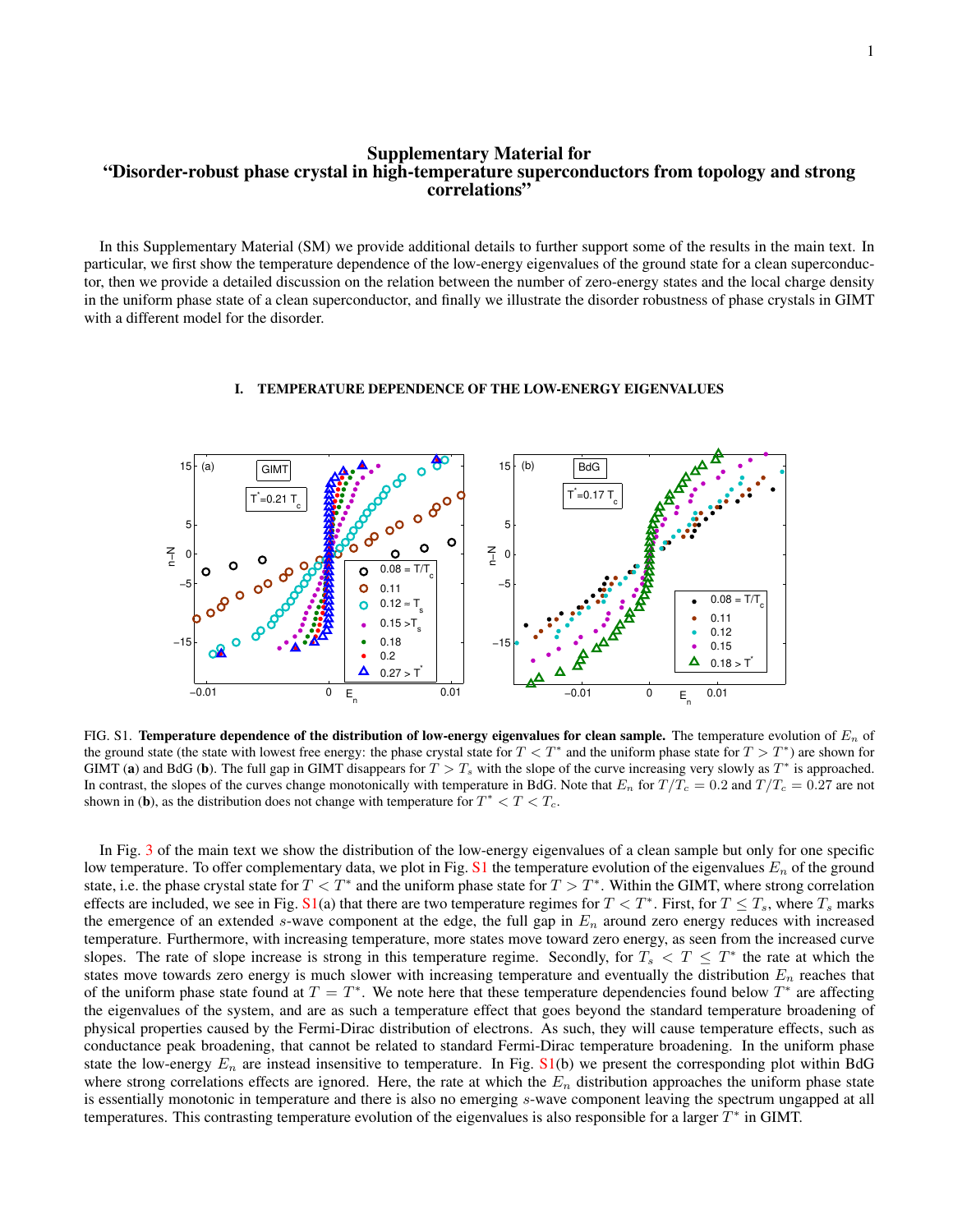## Supplementary Material for "Disorder-robust phase crystal in high-temperature superconductors from topology and strong correlations"

In this Supplementary Material (SM) we provide additional details to further support some of the results in the main text. In particular, we first show the temperature dependence of the low-energy eigenvalues of the ground state for a clean superconductor, then we provide a detailed discussion on the relation between the number of zero-energy states and the local charge density in the uniform phase state of a clean superconductor, and finally we illustrate the disorder robustness of phase crystals in GIMT with a different model for the disorder.

#### 15 (a) GIMT (b) BdG 15  $\vec{T} = 0.17 \text{ T}$  $T = 0.21 T$ c c 5 5  $\circ$ n−N n−<br>N− 0 0  $0.08 = T/T$ O c −5 0.11 −5 Ō  $0.08 = T/T$ ō  $0.12$ c s 0.11  $0.15 > T$ 0.12 s 0.18 −15 −15 0.15 0.2 Δ  $0.18 > T$ Δ  $0.27 > T$ −0.01 0 0.01 −0.01 0 **E** 0.01 E n E n

### I. TEMPERATURE DEPENDENCE OF THE LOW-ENERGY EIGENVALUES

FIG. S1. Temperature dependence of the distribution of low-energy eigenvalues for clean sample. The temperature evolution of  $E_n$  of the ground state (the state with lowest free energy: the phase crystal state for  $T < T^*$  and the uniform phase state for  $T > T^*$ ) are shown for GIMT (a) and BdG (b). The full gap in GIMT disappears for  $T > T_s$  with the slope of the curve increasing very slowly as  $T^*$  is approached. In contrast, the slopes of the curves change monotonically with temperature in BdG. Note that  $E_n$  for  $T/T_c = 0.2$  and  $T/T_c = 0.27$  are not shown in (b), as the distribution does not change with temperature for  $T^* < T < T_c$ .

In Fig. [3](#page-3-0) of the main text we show the distribution of the low-energy eigenvalues of a clean sample but only for one specific low temperature. To offer complementary data, we plot in Fig. [S1](#page-1-0) the temperature evolution of the eigenvalues  $E_n$  of the ground state, i.e. the phase crystal state for  $T < T^*$  and the uniform phase state for  $T > T^*$ . Within the GIMT, where strong correlation effects are included, we see in Fig.  $\text{S1(a)}$  $\text{S1(a)}$  $\text{S1(a)}$  that there are two temperature regimes for  $T < T^*$ . First, for  $T \leq T_s$ , where  $T_s$  marks the emergence of an extended s-wave component at the edge, the full gap in  $E_n$  around zero energy reduces with increased temperature. Furthermore, with increasing temperature, more states move toward zero energy, as seen from the increased curve slopes. The rate of slope increase is strong in this temperature regime. Secondly, for  $T_s < T \leq T^*$  the rate at which the states move towards zero energy is much slower with increasing temperature and eventually the distribution  $E_n$  reaches that of the uniform phase state found at  $T = T^*$ . We note here that these temperature dependencies found below  $T^*$  are affecting the eigenvalues of the system, and are as such a temperature effect that goes beyond the standard temperature broadening of physical properties caused by the Fermi-Dirac distribution of electrons. As such, they will cause temperature effects, such as conductance peak broadening, that cannot be related to standard Fermi-Dirac temperature broadening. In the uniform phase state the low-energy  $E_n$  are instead insensitive to temperature. In Fig.  $S1(b)$  $S1(b)$  we present the corresponding plot within BdG where strong correlations effects are ignored. Here, the rate at which the  $E_n$  distribution approaches the uniform phase state is essentially monotonic in temperature and there is also no emerging s-wave component leaving the spectrum ungapped at all temperatures. This contrasting temperature evolution of the eigenvalues is also responsible for a larger  $T^*$  in GIMT.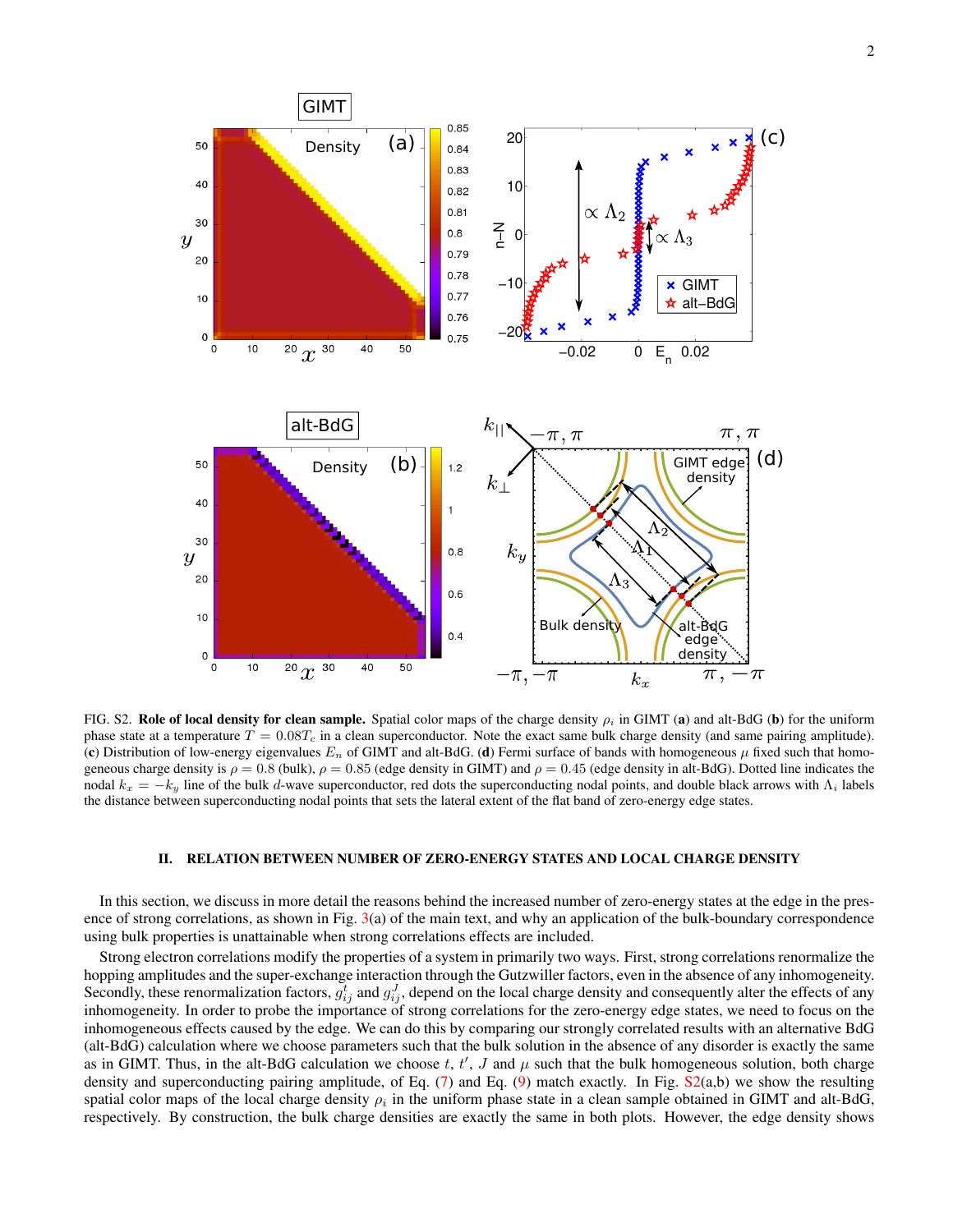

FIG. S2. Role of local density for clean sample. Spatial color maps of the charge density  $\rho_i$  in GIMT (a) and alt-BdG (b) for the uniform phase state at a temperature  $T = 0.08T_c$  in a clean superconductor. Note the exact same bulk charge density (and same pairing amplitude). (c) Distribution of low-energy eigenvalues  $E_n$  of GIMT and alt-BdG. (d) Fermi surface of bands with homogeneous  $\mu$  fixed such that homogeneous charge density is  $\rho = 0.8$  (bulk),  $\rho = 0.85$  (edge density in GIMT) and  $\rho = 0.45$  (edge density in alt-BdG). Dotted line indicates the nodal  $k_x = -k_y$  line of the bulk d-wave superconductor, red dots the superconducting nodal points, and double black arrows with  $\Lambda_i$  labels the distance between superconducting nodal points that sets the lateral extent of the flat band of zero-energy edge states.

## II. RELATION BETWEEN NUMBER OF ZERO-ENERGY STATES AND LOCAL CHARGE DENSITY

In this section, we discuss in more detail the reasons behind the increased number of zero-energy states at the edge in the pres-ence of strong correlations, as shown in Fig. [3\(](#page-3-0)a) of the main text, and why an application of the bulk-boundary correspondence using bulk properties is unattainable when strong correlations effects are included.

Strong electron correlations modify the properties of a system in primarily two ways. First, strong correlations renormalize the hopping amplitudes and the super-exchange interaction through the Gutzwiller factors, even in the absence of any inhomogeneity. Secondly, these renormalization factors,  $g_{ij}^t$  and  $g_{ij}^J$ , depend on the local charge density and consequently alter the effects of any inhomogeneity. In order to probe the importance of strong correlations for the zero-energy edge states, we need to focus on the inhomogeneous effects caused by the edge. We can do this by comparing our strongly correlated results with an alternative BdG (alt-BdG) calculation where we choose parameters such that the bulk solution in the absence of any disorder is exactly the same as in GIMT. Thus, in the alt-BdG calculation we choose t, t', J and  $\mu$  such that the bulk homogeneous solution, both charge density and superconducting pairing amplitude, of Eq.  $(7)$  and Eq.  $(9)$  match exactly. In Fig.  $S2(a,b)$  $S2(a,b)$  we show the resulting spatial color maps of the local charge density  $\rho_i$  in the uniform phase state in a clean sample obtained in GIMT and alt-BdG, respectively. By construction, the bulk charge densities are exactly the same in both plots. However, the edge density shows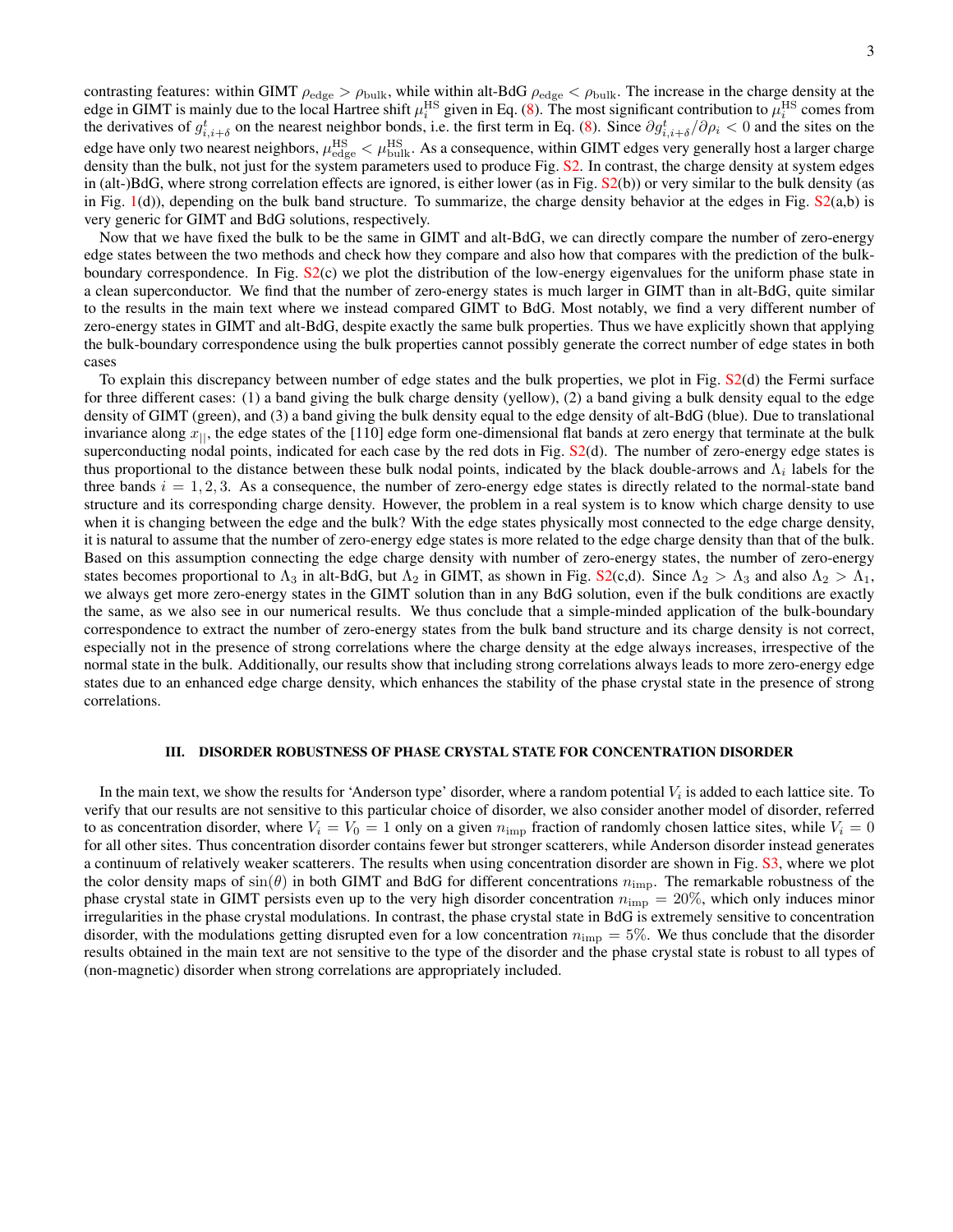contrasting features: within GIMT  $\rho_{\text{edge}} > \rho_{\text{bulk}}$ , while within alt-BdG  $\rho_{\text{edge}} < \rho_{\text{bulk}}$ . The increase in the charge density at the edge in GIMT is mainly due to the local Hartree shift  $\mu_i^{\rm HS}$  given in Eq. [\(8\)](#page-6-3). The most significant contribution to  $\mu_i^{\rm HS}$  comes from the derivatives of  $g_{i,i+\delta}^t$  on the nearest neighbor bonds, i.e. the first term in Eq. [\(8\)](#page-6-3). Since  $\partial g_{i,i+\delta}^t/\partial \rho_i < 0$  and the sites on the edge have only two nearest neighbors,  $\mu_{\rm edge}^{\rm HS}<\mu_{\rm bulk}^{\rm HS}$ . As a consequence, within GIMT edges very generally host a larger charge density than the bulk, not just for the system parameters used to produce Fig. [S2.](#page-2-0) In contrast, the charge density at system edges in (alt-)BdG, where strong correlation effects are ignored, is either lower (as in Fig.  $S(2(b))$ ) or very similar to the bulk density (as in Fig.  $1(d)$  $1(d)$ ), depending on the bulk band structure. To summarize, the charge density behavior at the edges in Fig.  $S2(a,b)$  $S2(a,b)$  is very generic for GIMT and BdG solutions, respectively.

Now that we have fixed the bulk to be the same in GIMT and alt-BdG, we can directly compare the number of zero-energy edge states between the two methods and check how they compare and also how that compares with the prediction of the bulkboundary correspondence. In Fig. [S2\(](#page-2-0)c) we plot the distribution of the low-energy eigenvalues for the uniform phase state in a clean superconductor. We find that the number of zero-energy states is much larger in GIMT than in alt-BdG, quite similar to the results in the main text where we instead compared GIMT to BdG. Most notably, we find a very different number of zero-energy states in GIMT and alt-BdG, despite exactly the same bulk properties. Thus we have explicitly shown that applying the bulk-boundary correspondence using the bulk properties cannot possibly generate the correct number of edge states in both cases

To explain this discrepancy between number of edge states and the bulk properties, we plot in Fig. [S2\(](#page-2-0)d) the Fermi surface for three different cases: (1) a band giving the bulk charge density (yellow), (2) a band giving a bulk density equal to the edge density of GIMT (green), and (3) a band giving the bulk density equal to the edge density of alt-BdG (blue). Due to translational invariance along  $x_{\parallel}$ , the edge states of the [110] edge form one-dimensional flat bands at zero energy that terminate at the bulk superconducting nodal points, indicated for each case by the red dots in Fig. [S2\(](#page-2-0)d). The number of zero-energy edge states is thus proportional to the distance between these bulk nodal points, indicated by the black double-arrows and  $\Lambda_i$  labels for the three bands  $i = 1, 2, 3$ . As a consequence, the number of zero-energy edge states is directly related to the normal-state band structure and its corresponding charge density. However, the problem in a real system is to know which charge density to use when it is changing between the edge and the bulk? With the edge states physically most connected to the edge charge density, it is natural to assume that the number of zero-energy edge states is more related to the edge charge density than that of the bulk. Based on this assumption connecting the edge charge density with number of zero-energy states, the number of zero-energy states becomes proportional to  $\Lambda_3$  in alt-BdG, but  $\Lambda_2$  in GIMT, as shown in Fig. [S2\(](#page-2-0)c,d). Since  $\Lambda_2 > \Lambda_3$  and also  $\Lambda_2 > \Lambda_1$ , we always get more zero-energy states in the GIMT solution than in any BdG solution, even if the bulk conditions are exactly the same, as we also see in our numerical results. We thus conclude that a simple-minded application of the bulk-boundary correspondence to extract the number of zero-energy states from the bulk band structure and its charge density is not correct, especially not in the presence of strong correlations where the charge density at the edge always increases, irrespective of the normal state in the bulk. Additionally, our results show that including strong correlations always leads to more zero-energy edge states due to an enhanced edge charge density, which enhances the stability of the phase crystal state in the presence of strong correlations.

### III. DISORDER ROBUSTNESS OF PHASE CRYSTAL STATE FOR CONCENTRATION DISORDER

In the main text, we show the results for 'Anderson type' disorder, where a random potential  $V_i$  is added to each lattice site. To verify that our results are not sensitive to this particular choice of disorder, we also consider another model of disorder, referred to as concentration disorder, where  $V_i = V_0 = 1$  only on a given  $n_{\rm imp}$  fraction of randomly chosen lattice sites, while  $V_i = 0$ for all other sites. Thus concentration disorder contains fewer but stronger scatterers, while Anderson disorder instead generates a continuum of relatively weaker scatterers. The results when using concentration disorder are shown in Fig. [S3,](#page-3-0) where we plot the color density maps of  $sin(\theta)$  in both GIMT and BdG for different concentrations  $n_{\text{imp}}$ . The remarkable robustness of the phase crystal state in GIMT persists even up to the very high disorder concentration  $n_{\text{imp}} = 20\%$ , which only induces minor irregularities in the phase crystal modulations. In contrast, the phase crystal state in BdG is extremely sensitive to concentration disorder, with the modulations getting disrupted even for a low concentration  $n_{\text{imp}} = 5\%$ . We thus conclude that the disorder results obtained in the main text are not sensitive to the type of the disorder and the phase crystal state is robust to all types of (non-magnetic) disorder when strong correlations are appropriately included.